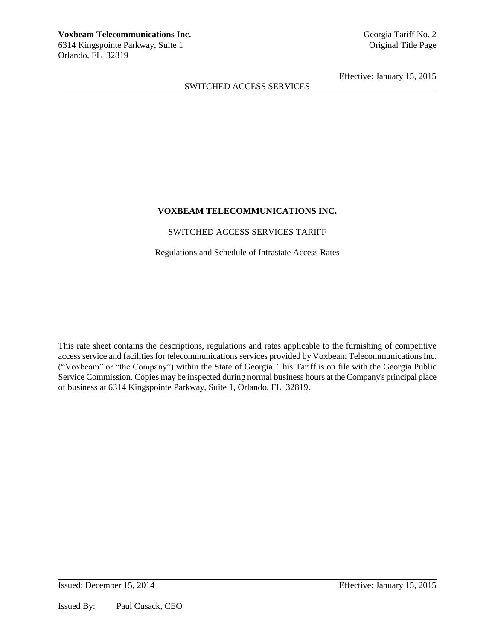# SWITCHED ACCESS SERVICES

# **VOXBEAM TELECOMMUNICATIONS INC.**

# SWITCHED ACCESS SERVICES TARIFF

Regulations and Schedule of Intrastate Access Rates

This rate sheet contains the descriptions, regulations and rates applicable to the furnishing of competitive access service and facilities for telecommunications services provided by Voxbeam Telecommunications Inc. ("Voxbeam" or "the Company") within the State of Georgia. This Tariff is on file with the Georgia Public Service Commission. Copies may be inspected during normal business hours at the Company's principal place of business at 6314 Kingspointe Parkway, Suite 1, Orlando, FL 32819.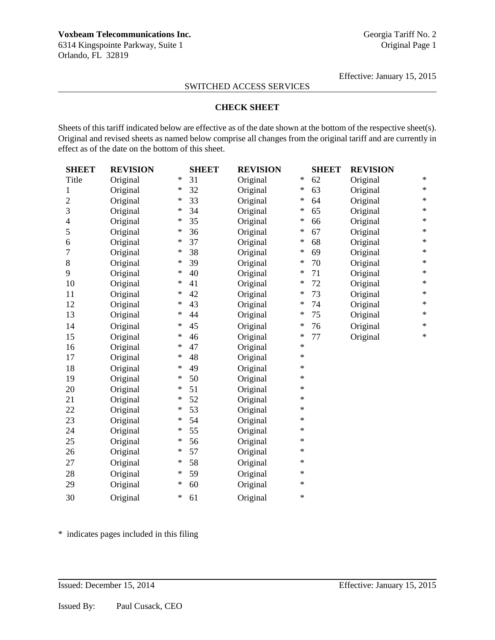6314 Kingspointe Parkway, Suite 1 Original Page 1 Orlando, FL 32819

Effective: January 15, 2015

# SWITCHED ACCESS SERVICES

# **CHECK SHEET**

Sheets of this tariff indicated below are effective as of the date shown at the bottom of the respective sheet(s). Original and revised sheets as named below comprise all changes from the original tariff and are currently in effect as of the date on the bottom of this sheet.

| <b>SHEET</b>   | <b>REVISION</b> |        | <b>SHEET</b> | <b>REVISION</b> |         | <b>SHEET</b> | <b>REVISION</b> |        |
|----------------|-----------------|--------|--------------|-----------------|---------|--------------|-----------------|--------|
| Title          | Original        | $\ast$ | 31           | Original        | $\ast$  | 62           | Original        | $\ast$ |
| 1              | Original        | ∗      | 32           | Original        | ∗       | 63           | Original        | ∗      |
| $\overline{c}$ | Original        | ∗      | 33           | Original        | $\ast$  | 64           | Original        | $\ast$ |
| 3              | Original        | $\ast$ | 34           | Original        | $\ast$  | 65           | Original        | $\ast$ |
| 4              | Original        | ∗      | 35           | Original        | ∗       | 66           | Original        | ∗      |
| 5              | Original        | $\ast$ | 36           | Original        | $\ast$  | 67           | Original        | $\ast$ |
| 6              | Original        | $\ast$ | 37           | Original        | $\ast$  | 68           | Original        | $\ast$ |
| 7              | Original        | $\ast$ | 38           | Original        | $\ast$  | 69           | Original        | $\ast$ |
| 8              | Original        | $\ast$ | 39           | Original        | $\ast$  | 70           | Original        | $\ast$ |
| 9              | Original        | $\ast$ | 40           | Original        | $\ast$  | 71           | Original        | $\ast$ |
| 10             | Original        | $\ast$ | 41           | Original        | ∗       | 72           | Original        | $\ast$ |
| 11             | Original        | $\ast$ | 42           | Original        | ∗       | 73           | Original        | $\ast$ |
| 12             | Original        | $\ast$ | 43           | Original        | $\ast$  | 74           | Original        | $\ast$ |
| 13             | Original        | $\ast$ | 44           | Original        | $\ast$  | 75           | Original        | $\ast$ |
| 14             | Original        | ∗      | 45           | Original        | $\ast$  | 76           | Original        | $\ast$ |
| 15             | Original        | $\ast$ | 46           | Original        | $\ast$  | 77           | Original        | $\ast$ |
| 16             | Original        | $\ast$ | 47           | Original        | $\ast$  |              |                 |        |
| 17             | Original        | ∗      | 48           | Original        | $\ast$  |              |                 |        |
| 18             | Original        | $\ast$ | 49           | Original        | $\ast$  |              |                 |        |
| 19             | Original        | $\ast$ | 50           | Original        | $\ast$  |              |                 |        |
| 20             | Original        | $\ast$ | 51           | Original        | $\ast$  |              |                 |        |
| 21             | Original        | ∗      | 52           | Original        | $\ast$  |              |                 |        |
| 22             | Original        | $\ast$ | 53           | Original        | *       |              |                 |        |
| 23             | Original        | $\ast$ | 54           | Original        | $\ast$  |              |                 |        |
| 24             | Original        | $\ast$ | 55           | Original        | $^\ast$ |              |                 |        |
| 25             | Original        | $\ast$ | 56           | Original        | $\ast$  |              |                 |        |
| 26             | Original        | ∗      | 57           | Original        | $\ast$  |              |                 |        |
| 27             | Original        | $\ast$ | 58           | Original        | $\ast$  |              |                 |        |
| 28             | Original        | ∗      | 59           | Original        | $\ast$  |              |                 |        |
| 29             | Original        | $\ast$ | 60           | Original        | $\ast$  |              |                 |        |
| 30             | Original        | $\ast$ | 61           | Original        | *       |              |                 |        |

\* indicates pages included in this filing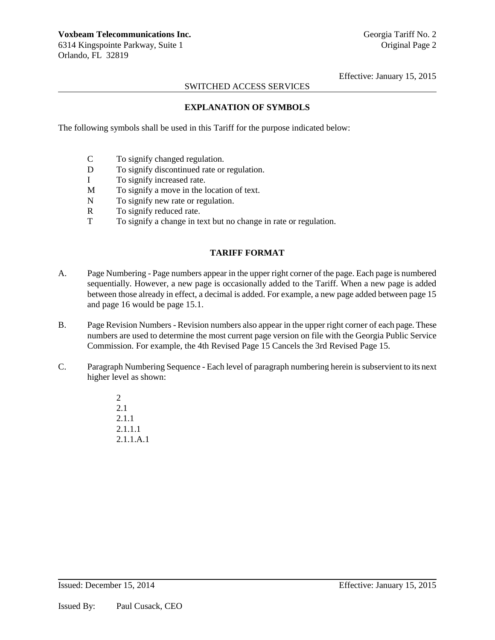# SWITCHED ACCESS SERVICES

# **EXPLANATION OF SYMBOLS**

The following symbols shall be used in this Tariff for the purpose indicated below:

- C To signify changed regulation.
- D To signify discontinued rate or regulation.
- I To signify increased rate.
- M To signify a move in the location of text.
- N To signify new rate or regulation.
- R To signify reduced rate.
- T To signify a change in text but no change in rate or regulation.

# **TARIFF FORMAT**

- A. Page Numbering Page numbers appear in the upper right corner of the page. Each page is numbered sequentially. However, a new page is occasionally added to the Tariff. When a new page is added between those already in effect, a decimal is added. For example, a new page added between page 15 and page 16 would be page 15.1.
- B. Page Revision Numbers Revision numbers also appear in the upper right corner of each page. These numbers are used to determine the most current page version on file with the Georgia Public Service Commission. For example, the 4th Revised Page 15 Cancels the 3rd Revised Page 15.
- C. Paragraph Numbering Sequence Each level of paragraph numbering herein is subservient to its next higher level as shown:
	- 2 2.1 2.1.1 2.1.1.1 2.1.1.A.1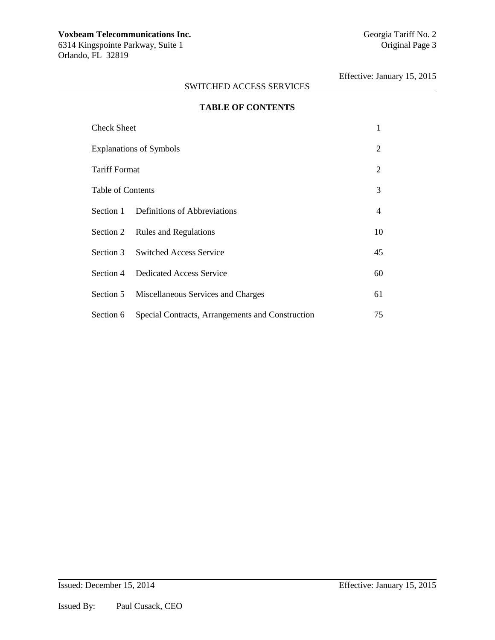# SWITCHED ACCESS SERVICES

|                                | TADLE OF CONTENTS                                |                |  |  |
|--------------------------------|--------------------------------------------------|----------------|--|--|
| <b>Check Sheet</b>             |                                                  |                |  |  |
| <b>Explanations of Symbols</b> |                                                  |                |  |  |
| <b>Tariff Format</b>           |                                                  |                |  |  |
| <b>Table of Contents</b>       |                                                  |                |  |  |
| Section 1                      | Definitions of Abbreviations                     | $\overline{4}$ |  |  |
|                                | Section 2 Rules and Regulations                  | 10             |  |  |
|                                | Section 3 Switched Access Service                | 45             |  |  |
| Section 4                      | <b>Dedicated Access Service</b>                  | 60             |  |  |
| Section 5                      | Miscellaneous Services and Charges               | 61             |  |  |
| Section 6                      | Special Contracts, Arrangements and Construction | 75             |  |  |

# **TABLE OF CONTENTS**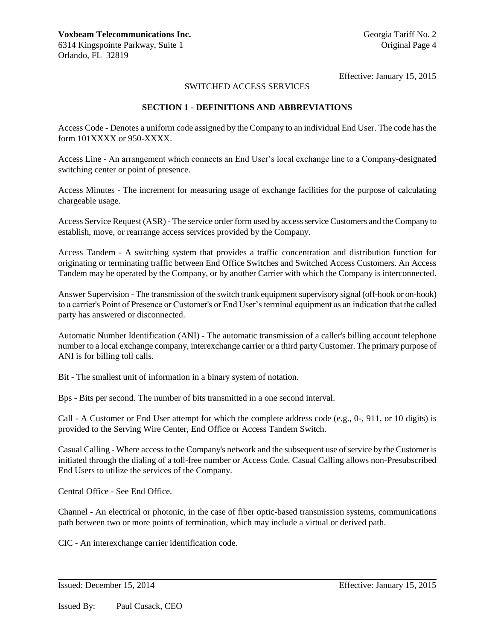### SWITCHED ACCESS SERVICES

### **SECTION 1 - DEFINITIONS AND ABBREVIATIONS**

Access Code - Denotes a uniform code assigned by the Company to an individual End User. The code has the form 101XXXX or 950-XXXX.

Access Line - An arrangement which connects an End User's local exchange line to a Company-designated switching center or point of presence.

Access Minutes - The increment for measuring usage of exchange facilities for the purpose of calculating chargeable usage.

Access Service Request (ASR) - The service order form used by access service Customers and the Company to establish, move, or rearrange access services provided by the Company.

Access Tandem - A switching system that provides a traffic concentration and distribution function for originating or terminating traffic between End Office Switches and Switched Access Customers. An Access Tandem may be operated by the Company, or by another Carrier with which the Company is interconnected.

Answer Supervision - The transmission of the switch trunk equipment supervisory signal (off-hook or on-hook) to a carrier's Point of Presence or Customer's or End User's terminal equipment as an indication that the called party has answered or disconnected.

Automatic Number Identification (ANI) - The automatic transmission of a caller's billing account telephone number to a local exchange company, interexchange carrier or a third party Customer. The primary purpose of ANI is for billing toll calls.

Bit - The smallest unit of information in a binary system of notation.

Bps - Bits per second. The number of bits transmitted in a one second interval.

Call - A Customer or End User attempt for which the complete address code (e.g., 0-, 911, or 10 digits) is provided to the Serving Wire Center, End Office or Access Tandem Switch.

Casual Calling - Where access to the Company's network and the subsequent use of service by the Customer is initiated through the dialing of a toll-free number or Access Code. Casual Calling allows non-Presubscribed End Users to utilize the services of the Company.

Central Office - See End Office.

Channel - An electrical or photonic, in the case of fiber optic-based transmission systems, communications path between two or more points of termination, which may include a virtual or derived path.

CIC - An interexchange carrier identification code.

Issued: December 15, 2014 Effective: January 15, 2015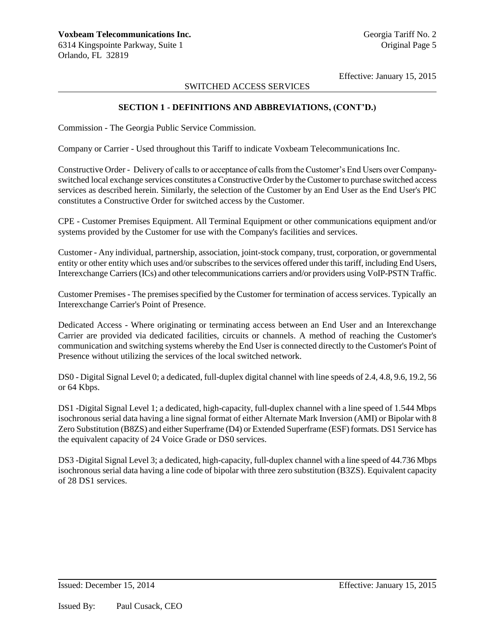# SWITCHED ACCESS SERVICES

### **SECTION 1 - DEFINITIONS AND ABBREVIATIONS, (CONT'D.)**

Commission - The Georgia Public Service Commission.

Company or Carrier - Used throughout this Tariff to indicate Voxbeam Telecommunications Inc.

Constructive Order - Delivery of calls to or acceptance of calls from the Customer's End Users over Companyswitched local exchange services constitutes a Constructive Order by the Customer to purchase switched access services as described herein. Similarly, the selection of the Customer by an End User as the End User's PIC constitutes a Constructive Order for switched access by the Customer.

CPE - Customer Premises Equipment. All Terminal Equipment or other communications equipment and/or systems provided by the Customer for use with the Company's facilities and services.

Customer - Any individual, partnership, association, joint-stock company, trust, corporation, or governmental entity or other entity which uses and/or subscribes to the services offered under this tariff, including End Users, Interexchange Carriers (ICs) and other telecommunications carriers and/or providers using VoIP-PSTN Traffic.

Customer Premises - The premises specified by the Customer for termination of access services. Typically an Interexchange Carrier's Point of Presence.

Dedicated Access - Where originating or terminating access between an End User and an Interexchange Carrier are provided via dedicated facilities, circuits or channels. A method of reaching the Customer's communication and switching systems whereby the End User is connected directly to the Customer's Point of Presence without utilizing the services of the local switched network.

DS0 - Digital Signal Level 0; a dedicated, full-duplex digital channel with line speeds of 2.4, 4.8, 9.6, 19.2, 56 or 64 Kbps.

DS1 -Digital Signal Level 1; a dedicated, high-capacity, full-duplex channel with a line speed of 1.544 Mbps isochronous serial data having a line signal format of either Alternate Mark Inversion (AMI) or Bipolar with 8 Zero Substitution (B8ZS) and either Superframe (D4) or Extended Superframe (ESF) formats. DS1 Service has the equivalent capacity of 24 Voice Grade or DS0 services.

DS3 -Digital Signal Level 3; a dedicated, high-capacity, full-duplex channel with a line speed of 44.736 Mbps isochronous serial data having a line code of bipolar with three zero substitution (B3ZS). Equivalent capacity of 28 DS1 services.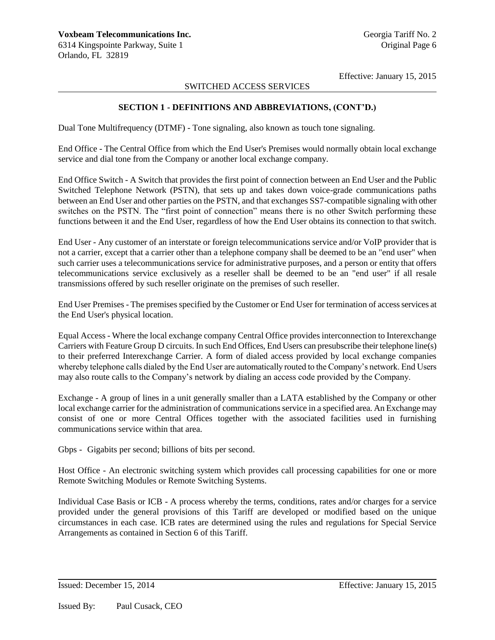# SWITCHED ACCESS SERVICES

### **SECTION 1 - DEFINITIONS AND ABBREVIATIONS, (CONT'D.)**

Dual Tone Multifrequency (DTMF) - Tone signaling, also known as touch tone signaling.

End Office - The Central Office from which the End User's Premises would normally obtain local exchange service and dial tone from the Company or another local exchange company.

End Office Switch - A Switch that provides the first point of connection between an End User and the Public Switched Telephone Network (PSTN), that sets up and takes down voice-grade communications paths between an End User and other parties on the PSTN, and that exchanges SS7-compatible signaling with other switches on the PSTN. The "first point of connection" means there is no other Switch performing these functions between it and the End User, regardless of how the End User obtains its connection to that switch.

End User - Any customer of an interstate or foreign telecommunications service and/or VoIP provider that is not a carrier, except that a carrier other than a telephone company shall be deemed to be an "end user" when such carrier uses a telecommunications service for administrative purposes, and a person or entity that offers telecommunications service exclusively as a reseller shall be deemed to be an "end user" if all resale transmissions offered by such reseller originate on the premises of such reseller.

End User Premises - The premises specified by the Customer or End User for termination of access services at the End User's physical location.

Equal Access - Where the local exchange company Central Office provides interconnection to Interexchange Carriers with Feature Group D circuits. In such End Offices, End Users can presubscribe their telephone line(s) to their preferred Interexchange Carrier. A form of dialed access provided by local exchange companies whereby telephone calls dialed by the End User are automatically routed to the Company's network. End Users may also route calls to the Company's network by dialing an access code provided by the Company.

Exchange - A group of lines in a unit generally smaller than a LATA established by the Company or other local exchange carrier for the administration of communications service in a specified area. An Exchange may consist of one or more Central Offices together with the associated facilities used in furnishing communications service within that area.

Gbps - Gigabits per second; billions of bits per second.

Host Office - An electronic switching system which provides call processing capabilities for one or more Remote Switching Modules or Remote Switching Systems.

Individual Case Basis or ICB - A process whereby the terms, conditions, rates and/or charges for a service provided under the general provisions of this Tariff are developed or modified based on the unique circumstances in each case. ICB rates are determined using the rules and regulations for Special Service Arrangements as contained in Section 6 of this Tariff.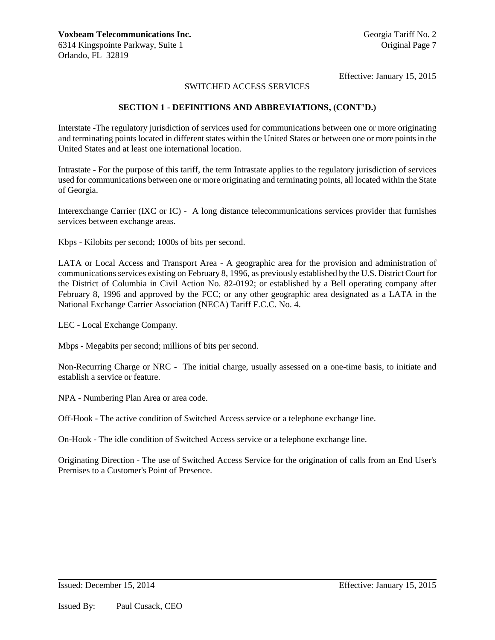# SWITCHED ACCESS SERVICES

# **SECTION 1 - DEFINITIONS AND ABBREVIATIONS, (CONT'D.)**

Interstate -The regulatory jurisdiction of services used for communications between one or more originating and terminating points located in different states within the United States or between one or more points in the United States and at least one international location.

Intrastate - For the purpose of this tariff, the term Intrastate applies to the regulatory jurisdiction of services used for communications between one or more originating and terminating points, all located within the State of Georgia.

Interexchange Carrier (IXC or IC) - A long distance telecommunications services provider that furnishes services between exchange areas.

Kbps - Kilobits per second; 1000s of bits per second.

LATA or Local Access and Transport Area - A geographic area for the provision and administration of communications services existing on February 8, 1996, as previously established by the U.S. District Court for the District of Columbia in Civil Action No. 82-0192; or established by a Bell operating company after February 8, 1996 and approved by the FCC; or any other geographic area designated as a LATA in the National Exchange Carrier Association (NECA) Tariff F.C.C. No. 4.

LEC - Local Exchange Company.

Mbps - Megabits per second; millions of bits per second.

Non-Recurring Charge or NRC - The initial charge, usually assessed on a one-time basis, to initiate and establish a service or feature.

NPA - Numbering Plan Area or area code.

Off-Hook - The active condition of Switched Access service or a telephone exchange line.

On-Hook - The idle condition of Switched Access service or a telephone exchange line.

Originating Direction - The use of Switched Access Service for the origination of calls from an End User's Premises to a Customer's Point of Presence.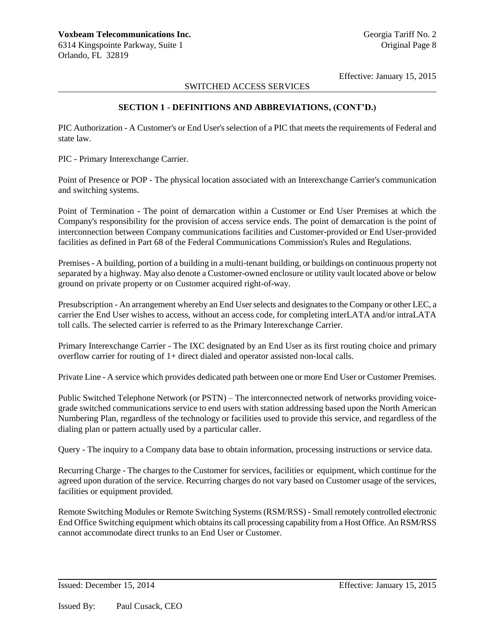### SWITCHED ACCESS SERVICES

# **SECTION 1 - DEFINITIONS AND ABBREVIATIONS, (CONT'D.)**

PIC Authorization - A Customer's or End User's selection of a PIC that meets the requirements of Federal and state law.

PIC - Primary Interexchange Carrier.

Point of Presence or POP - The physical location associated with an Interexchange Carrier's communication and switching systems.

Point of Termination - The point of demarcation within a Customer or End User Premises at which the Company's responsibility for the provision of access service ends. The point of demarcation is the point of interconnection between Company communications facilities and Customer-provided or End User-provided facilities as defined in Part 68 of the Federal Communications Commission's Rules and Regulations.

Premises - A building, portion of a building in a multi-tenant building, or buildings on continuous property not separated by a highway. May also denote a Customer-owned enclosure or utility vault located above or below ground on private property or on Customer acquired right-of-way.

Presubscription - An arrangement whereby an End User selects and designates to the Company or other LEC, a carrier the End User wishes to access, without an access code, for completing interLATA and/or intraLATA toll calls. The selected carrier is referred to as the Primary Interexchange Carrier.

Primary Interexchange Carrier - The IXC designated by an End User as its first routing choice and primary overflow carrier for routing of 1+ direct dialed and operator assisted non-local calls.

Private Line - A service which provides dedicated path between one or more End User or Customer Premises.

Public Switched Telephone Network (or PSTN) – The interconnected network of networks providing voicegrade switched communications service to end users with station addressing based upon the North American Numbering Plan, regardless of the technology or facilities used to provide this service, and regardless of the dialing plan or pattern actually used by a particular caller.

Query - The inquiry to a Company data base to obtain information, processing instructions or service data.

Recurring Charge - The charges to the Customer for services, facilities or equipment, which continue for the agreed upon duration of the service. Recurring charges do not vary based on Customer usage of the services, facilities or equipment provided.

Remote Switching Modules or Remote Switching Systems (RSM/RSS) - Small remotely controlled electronic End Office Switching equipment which obtains its call processing capability from a Host Office. An RSM/RSS cannot accommodate direct trunks to an End User or Customer.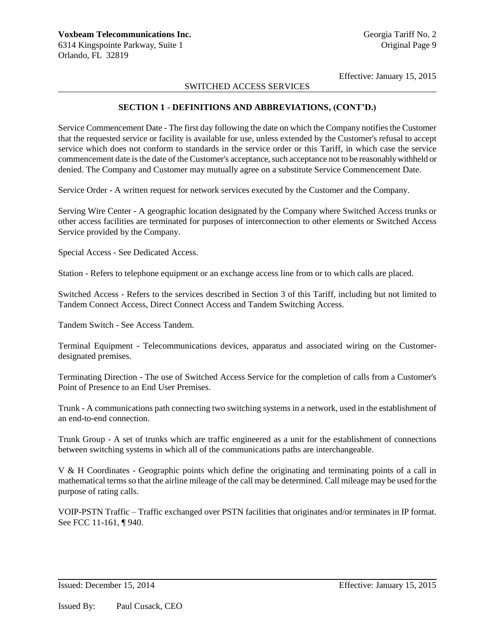### SWITCHED ACCESS SERVICES

### **SECTION 1 - DEFINITIONS AND ABBREVIATIONS, (CONT'D.)**

Service Commencement Date - The first day following the date on which the Company notifies the Customer that the requested service or facility is available for use, unless extended by the Customer's refusal to accept service which does not conform to standards in the service order or this Tariff, in which case the service commencement date is the date of the Customer's acceptance, such acceptance not to be reasonably withheld or denied. The Company and Customer may mutually agree on a substitute Service Commencement Date.

Service Order - A written request for network services executed by the Customer and the Company.

Serving Wire Center - A geographic location designated by the Company where Switched Access trunks or other access facilities are terminated for purposes of interconnection to other elements or Switched Access Service provided by the Company.

Special Access - See Dedicated Access.

Station - Refers to telephone equipment or an exchange access line from or to which calls are placed.

Switched Access - Refers to the services described in Section 3 of this Tariff, including but not limited to Tandem Connect Access, Direct Connect Access and Tandem Switching Access.

Tandem Switch - See Access Tandem.

Terminal Equipment - Telecommunications devices, apparatus and associated wiring on the Customerdesignated premises.

Terminating Direction - The use of Switched Access Service for the completion of calls from a Customer's Point of Presence to an End User Premises.

Trunk - A communications path connecting two switching systems in a network, used in the establishment of an end-to-end connection.

Trunk Group - A set of trunks which are traffic engineered as a unit for the establishment of connections between switching systems in which all of the communications paths are interchangeable.

V & H Coordinates - Geographic points which define the originating and terminating points of a call in mathematical terms so that the airline mileage of the call may be determined. Call mileage may be used for the purpose of rating calls.

VOIP-PSTN Traffic – Traffic exchanged over PSTN facilities that originates and/or terminates in IP format. See FCC 11-161, ¶ 940.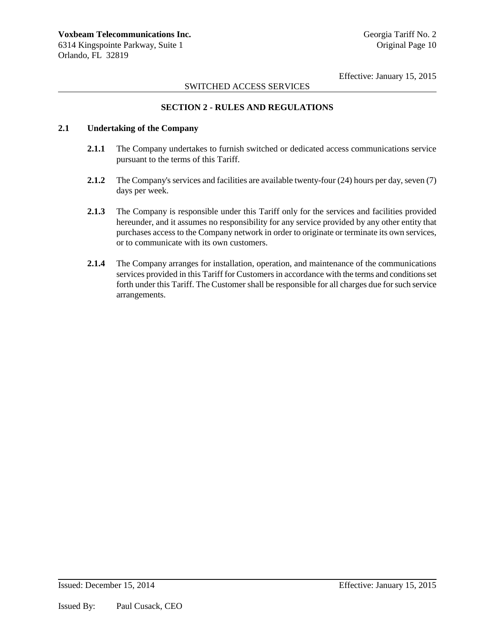# SWITCHED ACCESS SERVICES

# **SECTION 2 - RULES AND REGULATIONS**

# **2.1 Undertaking of the Company**

- **2.1.1** The Company undertakes to furnish switched or dedicated access communications service pursuant to the terms of this Tariff.
- **2.1.2** The Company's services and facilities are available twenty-four (24) hours per day, seven (7) days per week.
- **2.1.3** The Company is responsible under this Tariff only for the services and facilities provided hereunder, and it assumes no responsibility for any service provided by any other entity that purchases access to the Company network in order to originate or terminate its own services, or to communicate with its own customers.
- **2.1.4** The Company arranges for installation, operation, and maintenance of the communications services provided in this Tariff for Customers in accordance with the terms and conditions set forth under this Tariff. The Customer shall be responsible for all charges due for such service arrangements.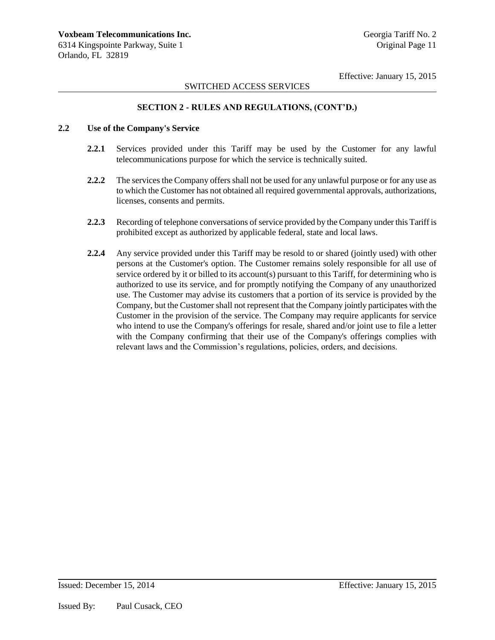# SWITCHED ACCESS SERVICES

# **SECTION 2 - RULES AND REGULATIONS, (CONT'D.)**

# **2.2 Use of the Company's Service**

- **2.2.1** Services provided under this Tariff may be used by the Customer for any lawful telecommunications purpose for which the service is technically suited.
- **2.2.2** The services the Company offers shall not be used for any unlawful purpose or for any use as to which the Customer has not obtained all required governmental approvals, authorizations, licenses, consents and permits.
- **2.2.3** Recording of telephone conversations of service provided by the Company under this Tariff is prohibited except as authorized by applicable federal, state and local laws.
- **2.2.4** Any service provided under this Tariff may be resold to or shared (jointly used) with other persons at the Customer's option. The Customer remains solely responsible for all use of service ordered by it or billed to its account(s) pursuant to this Tariff, for determining who is authorized to use its service, and for promptly notifying the Company of any unauthorized use. The Customer may advise its customers that a portion of its service is provided by the Company, but the Customer shall not represent that the Company jointly participates with the Customer in the provision of the service. The Company may require applicants for service who intend to use the Company's offerings for resale, shared and/or joint use to file a letter with the Company confirming that their use of the Company's offerings complies with relevant laws and the Commission's regulations, policies, orders, and decisions.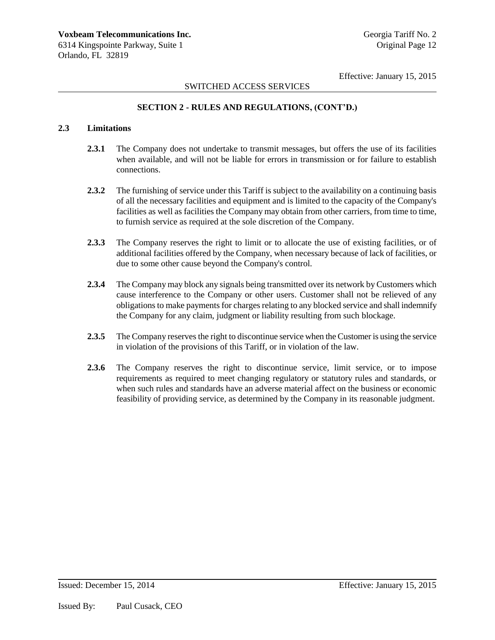# SWITCHED ACCESS SERVICES

# **SECTION 2 - RULES AND REGULATIONS, (CONT'D.)**

# **2.3 Limitations**

- **2.3.1** The Company does not undertake to transmit messages, but offers the use of its facilities when available, and will not be liable for errors in transmission or for failure to establish connections.
- **2.3.2** The furnishing of service under this Tariff is subject to the availability on a continuing basis of all the necessary facilities and equipment and is limited to the capacity of the Company's facilities as well as facilities the Company may obtain from other carriers, from time to time, to furnish service as required at the sole discretion of the Company.
- **2.3.3** The Company reserves the right to limit or to allocate the use of existing facilities, or of additional facilities offered by the Company, when necessary because of lack of facilities, or due to some other cause beyond the Company's control.
- **2.3.4** The Company may block any signals being transmitted over its network by Customers which cause interference to the Company or other users. Customer shall not be relieved of any obligations to make payments for charges relating to any blocked service and shall indemnify the Company for any claim, judgment or liability resulting from such blockage.
- **2.3.5** The Company reserves the right to discontinue service when the Customer is using the service in violation of the provisions of this Tariff, or in violation of the law.
- **2.3.6** The Company reserves the right to discontinue service, limit service, or to impose requirements as required to meet changing regulatory or statutory rules and standards, or when such rules and standards have an adverse material affect on the business or economic feasibility of providing service, as determined by the Company in its reasonable judgment.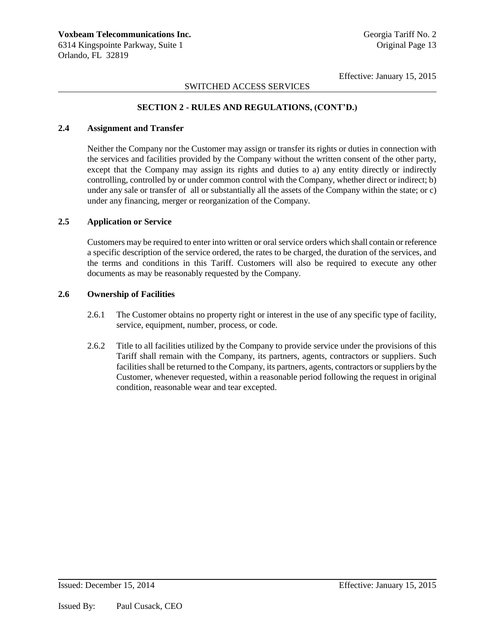# SWITCHED ACCESS SERVICES

### **SECTION 2 - RULES AND REGULATIONS, (CONT'D.)**

### **2.4 Assignment and Transfer**

Neither the Company nor the Customer may assign or transfer its rights or duties in connection with the services and facilities provided by the Company without the written consent of the other party, except that the Company may assign its rights and duties to a) any entity directly or indirectly controlling, controlled by or under common control with the Company, whether direct or indirect; b) under any sale or transfer of all or substantially all the assets of the Company within the state; or c) under any financing, merger or reorganization of the Company.

### **2.5 Application or Service**

Customers may be required to enter into written or oral service orders which shall contain or reference a specific description of the service ordered, the rates to be charged, the duration of the services, and the terms and conditions in this Tariff. Customers will also be required to execute any other documents as may be reasonably requested by the Company.

#### **2.6 Ownership of Facilities**

- 2.6.1 The Customer obtains no property right or interest in the use of any specific type of facility, service, equipment, number, process, or code.
- 2.6.2 Title to all facilities utilized by the Company to provide service under the provisions of this Tariff shall remain with the Company, its partners, agents, contractors or suppliers. Such facilities shall be returned to the Company, its partners, agents, contractors or suppliers by the Customer, whenever requested, within a reasonable period following the request in original condition, reasonable wear and tear excepted.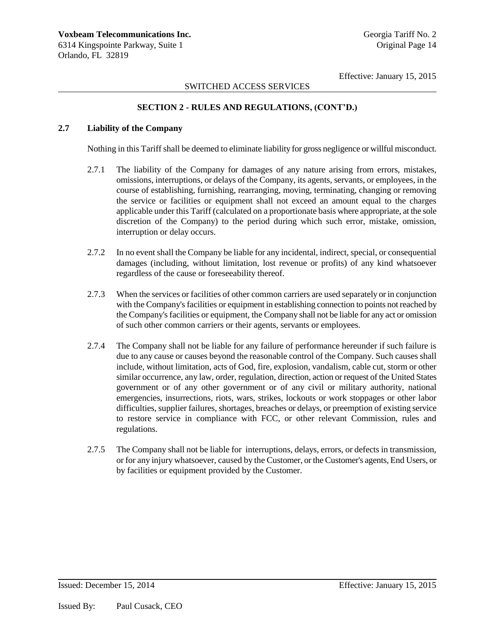# SWITCHED ACCESS SERVICES

# **SECTION 2 - RULES AND REGULATIONS, (CONT'D.)**

# **2.7 Liability of the Company**

Nothing in this Tariff shall be deemed to eliminate liability for gross negligence or willful misconduct.

- 2.7.1 The liability of the Company for damages of any nature arising from errors, mistakes, omissions, interruptions, or delays of the Company, its agents, servants, or employees, in the course of establishing, furnishing, rearranging, moving, terminating, changing or removing the service or facilities or equipment shall not exceed an amount equal to the charges applicable under this Tariff (calculated on a proportionate basis where appropriate, at the sole discretion of the Company) to the period during which such error, mistake, omission, interruption or delay occurs.
- 2.7.2 In no event shall the Company be liable for any incidental, indirect, special, or consequential damages (including, without limitation, lost revenue or profits) of any kind whatsoever regardless of the cause or foreseeability thereof.
- 2.7.3 When the services or facilities of other common carriers are used separately or in conjunction with the Company's facilities or equipment in establishing connection to points not reached by the Company's facilities or equipment, the Company shall not be liable for any act or omission of such other common carriers or their agents, servants or employees.
- 2.7.4 The Company shall not be liable for any failure of performance hereunder if such failure is due to any cause or causes beyond the reasonable control of the Company. Such causes shall include, without limitation, acts of God, fire, explosion, vandalism, cable cut, storm or other similar occurrence, any law, order, regulation, direction, action or request of the United States government or of any other government or of any civil or military authority, national emergencies, insurrections, riots, wars, strikes, lockouts or work stoppages or other labor difficulties, supplier failures, shortages, breaches or delays, or preemption of existing service to restore service in compliance with FCC, or other relevant Commission, rules and regulations.
- 2.7.5 The Company shall not be liable for interruptions, delays, errors, or defects in transmission, or for any injury whatsoever, caused by the Customer, or the Customer's agents, End Users, or by facilities or equipment provided by the Customer.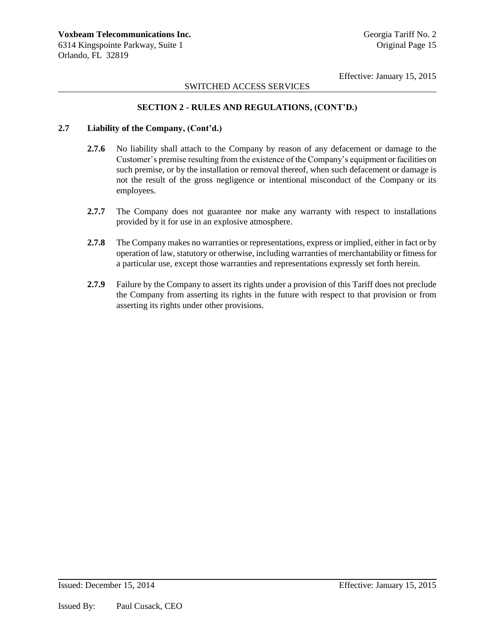# SWITCHED ACCESS SERVICES

# **SECTION 2 - RULES AND REGULATIONS, (CONT'D.)**

### **2.7 Liability of the Company, (Cont'd.)**

- **2.7.6** No liability shall attach to the Company by reason of any defacement or damage to the Customer's premise resulting from the existence of the Company's equipment or facilities on such premise, or by the installation or removal thereof, when such defacement or damage is not the result of the gross negligence or intentional misconduct of the Company or its employees.
- **2.7.7** The Company does not guarantee nor make any warranty with respect to installations provided by it for use in an explosive atmosphere.
- **2.7.8** The Company makes no warranties or representations, express or implied, either in fact or by operation of law, statutory or otherwise, including warranties of merchantability or fitness for a particular use, except those warranties and representations expressly set forth herein.
- **2.7.9** Failure by the Company to assert its rights under a provision of this Tariff does not preclude the Company from asserting its rights in the future with respect to that provision or from asserting its rights under other provisions.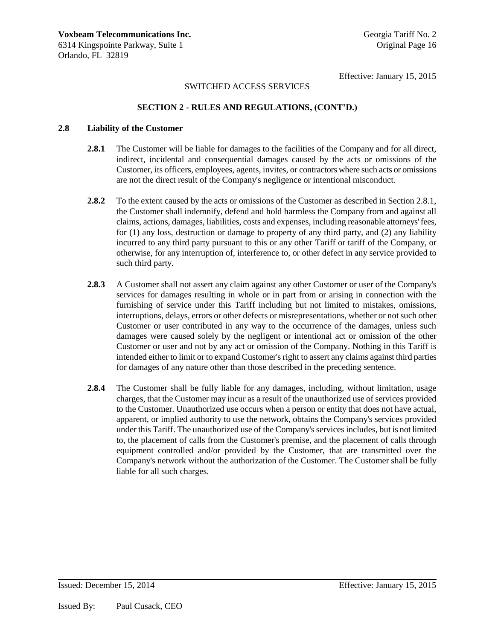# SWITCHED ACCESS SERVICES

### **SECTION 2 - RULES AND REGULATIONS, (CONT'D.)**

#### **2.8 Liability of the Customer**

- **2.8.1** The Customer will be liable for damages to the facilities of the Company and for all direct, indirect, incidental and consequential damages caused by the acts or omissions of the Customer, its officers, employees, agents, invites, or contractors where such acts or omissions are not the direct result of the Company's negligence or intentional misconduct.
- **2.8.2** To the extent caused by the acts or omissions of the Customer as described in Section 2.8.1, the Customer shall indemnify, defend and hold harmless the Company from and against all claims, actions, damages, liabilities, costs and expenses, including reasonable attorneys' fees, for (1) any loss, destruction or damage to property of any third party, and (2) any liability incurred to any third party pursuant to this or any other Tariff or tariff of the Company, or otherwise, for any interruption of, interference to, or other defect in any service provided to such third party.
- **2.8.3** A Customer shall not assert any claim against any other Customer or user of the Company's services for damages resulting in whole or in part from or arising in connection with the furnishing of service under this Tariff including but not limited to mistakes, omissions, interruptions, delays, errors or other defects or misrepresentations, whether or not such other Customer or user contributed in any way to the occurrence of the damages, unless such damages were caused solely by the negligent or intentional act or omission of the other Customer or user and not by any act or omission of the Company. Nothing in this Tariff is intended either to limit or to expand Customer's right to assert any claims against third parties for damages of any nature other than those described in the preceding sentence.
- **2.8.4** The Customer shall be fully liable for any damages, including, without limitation, usage charges, that the Customer may incur as a result of the unauthorized use of services provided to the Customer. Unauthorized use occurs when a person or entity that does not have actual, apparent, or implied authority to use the network, obtains the Company's services provided under this Tariff. The unauthorized use of the Company's services includes, but is not limited to, the placement of calls from the Customer's premise, and the placement of calls through equipment controlled and/or provided by the Customer, that are transmitted over the Company's network without the authorization of the Customer. The Customer shall be fully liable for all such charges.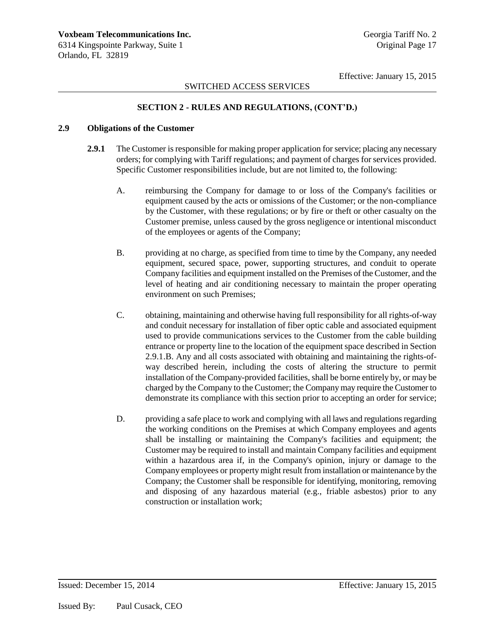# SWITCHED ACCESS SERVICES

# **SECTION 2 - RULES AND REGULATIONS, (CONT'D.)**

# **2.9 Obligations of the Customer**

- **2.9.1** The Customer is responsible for making proper application for service; placing any necessary orders; for complying with Tariff regulations; and payment of charges for services provided. Specific Customer responsibilities include, but are not limited to, the following:
	- A. reimbursing the Company for damage to or loss of the Company's facilities or equipment caused by the acts or omissions of the Customer; or the non-compliance by the Customer, with these regulations; or by fire or theft or other casualty on the Customer premise, unless caused by the gross negligence or intentional misconduct of the employees or agents of the Company;
	- B. providing at no charge, as specified from time to time by the Company, any needed equipment, secured space, power, supporting structures, and conduit to operate Company facilities and equipment installed on the Premises of the Customer, and the level of heating and air conditioning necessary to maintain the proper operating environment on such Premises;
	- C. obtaining, maintaining and otherwise having full responsibility for all rights-of-way and conduit necessary for installation of fiber optic cable and associated equipment used to provide communications services to the Customer from the cable building entrance or property line to the location of the equipment space described in Section 2.9.1.B. Any and all costs associated with obtaining and maintaining the rights-ofway described herein, including the costs of altering the structure to permit installation of the Company-provided facilities, shall be borne entirely by, or may be charged by the Company to the Customer; the Company may require the Customer to demonstrate its compliance with this section prior to accepting an order for service;
	- D. providing a safe place to work and complying with all laws and regulations regarding the working conditions on the Premises at which Company employees and agents shall be installing or maintaining the Company's facilities and equipment; the Customer may be required to install and maintain Company facilities and equipment within a hazardous area if, in the Company's opinion, injury or damage to the Company employees or property might result from installation or maintenance by the Company; the Customer shall be responsible for identifying, monitoring, removing and disposing of any hazardous material (e.g., friable asbestos) prior to any construction or installation work;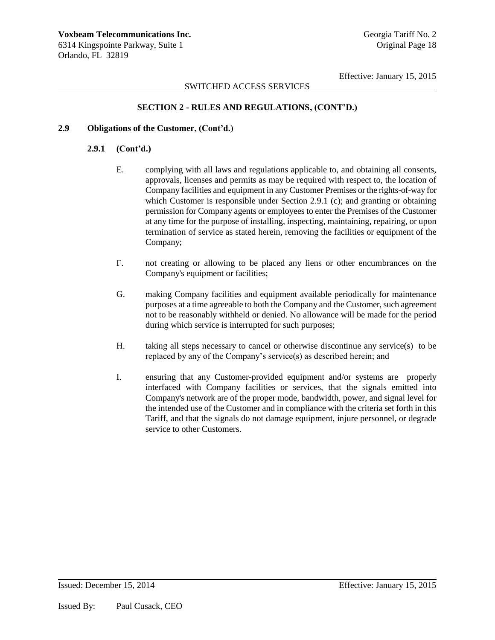# SWITCHED ACCESS SERVICES

# **SECTION 2 - RULES AND REGULATIONS, (CONT'D.)**

### **2.9 Obligations of the Customer, (Cont'd.)**

### **2.9.1 (Cont'd.)**

- E. complying with all laws and regulations applicable to, and obtaining all consents, approvals, licenses and permits as may be required with respect to, the location of Company facilities and equipment in any Customer Premises or the rights-of-way for which Customer is responsible under Section 2.9.1 (c); and granting or obtaining permission for Company agents or employees to enter the Premises of the Customer at any time for the purpose of installing, inspecting, maintaining, repairing, or upon termination of service as stated herein, removing the facilities or equipment of the Company;
- F. not creating or allowing to be placed any liens or other encumbrances on the Company's equipment or facilities;
- G. making Company facilities and equipment available periodically for maintenance purposes at a time agreeable to both the Company and the Customer, such agreement not to be reasonably withheld or denied. No allowance will be made for the period during which service is interrupted for such purposes;
- H. taking all steps necessary to cancel or otherwise discontinue any service(s) to be replaced by any of the Company's service(s) as described herein; and
- I. ensuring that any Customer-provided equipment and/or systems are properly interfaced with Company facilities or services, that the signals emitted into Company's network are of the proper mode, bandwidth, power, and signal level for the intended use of the Customer and in compliance with the criteria set forth in this Tariff, and that the signals do not damage equipment, injure personnel, or degrade service to other Customers.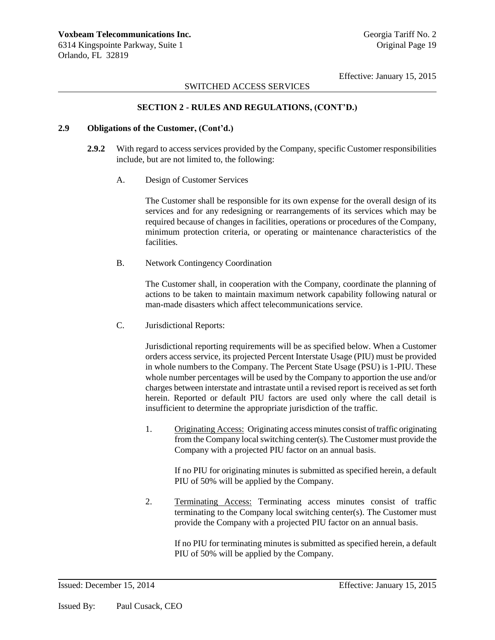# SWITCHED ACCESS SERVICES

# **SECTION 2 - RULES AND REGULATIONS, (CONT'D.)**

### **2.9 Obligations of the Customer, (Cont'd.)**

- **2.9.2** With regard to access services provided by the Company, specific Customer responsibilities include, but are not limited to, the following:
	- A. Design of Customer Services

The Customer shall be responsible for its own expense for the overall design of its services and for any redesigning or rearrangements of its services which may be required because of changes in facilities, operations or procedures of the Company, minimum protection criteria, or operating or maintenance characteristics of the facilities.

B. Network Contingency Coordination

The Customer shall, in cooperation with the Company, coordinate the planning of actions to be taken to maintain maximum network capability following natural or man-made disasters which affect telecommunications service.

C. Jurisdictional Reports:

Jurisdictional reporting requirements will be as specified below. When a Customer orders access service, its projected Percent Interstate Usage (PIU) must be provided in whole numbers to the Company. The Percent State Usage (PSU) is 1-PIU. These whole number percentages will be used by the Company to apportion the use and/or charges between interstate and intrastate until a revised report is received as set forth herein. Reported or default PIU factors are used only where the call detail is insufficient to determine the appropriate jurisdiction of the traffic.

1. Originating Access: Originating access minutes consist of traffic originating from the Company local switching center(s). The Customer must provide the Company with a projected PIU factor on an annual basis.

If no PIU for originating minutes is submitted as specified herein, a default PIU of 50% will be applied by the Company.

2. Terminating Access: Terminating access minutes consist of traffic terminating to the Company local switching center(s). The Customer must provide the Company with a projected PIU factor on an annual basis.

> If no PIU for terminating minutes is submitted as specified herein, a default PIU of 50% will be applied by the Company.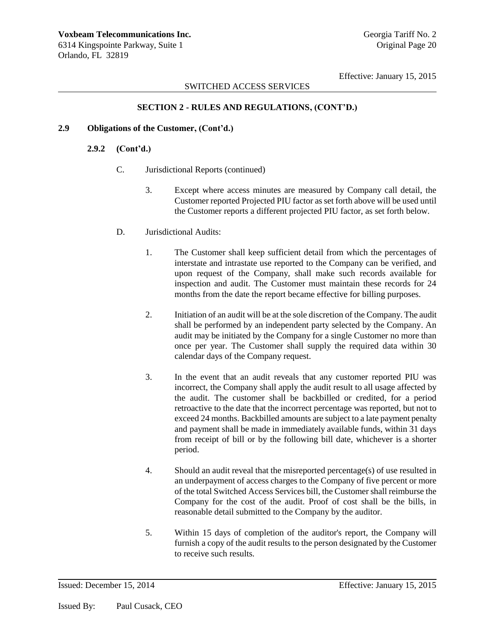# SWITCHED ACCESS SERVICES

### **SECTION 2 - RULES AND REGULATIONS, (CONT'D.)**

### **2.9 Obligations of the Customer, (Cont'd.)**

### **2.9.2 (Cont'd.)**

- C. Jurisdictional Reports (continued)
	- 3. Except where access minutes are measured by Company call detail, the Customer reported Projected PIU factor as set forth above will be used until the Customer reports a different projected PIU factor, as set forth below.
- D. Jurisdictional Audits:
	- 1. The Customer shall keep sufficient detail from which the percentages of interstate and intrastate use reported to the Company can be verified, and upon request of the Company, shall make such records available for inspection and audit. The Customer must maintain these records for 24 months from the date the report became effective for billing purposes.
	- 2. Initiation of an audit will be at the sole discretion of the Company. The audit shall be performed by an independent party selected by the Company. An audit may be initiated by the Company for a single Customer no more than once per year. The Customer shall supply the required data within 30 calendar days of the Company request.
	- 3. In the event that an audit reveals that any customer reported PIU was incorrect, the Company shall apply the audit result to all usage affected by the audit. The customer shall be backbilled or credited, for a period retroactive to the date that the incorrect percentage was reported, but not to exceed 24 months. Backbilled amounts are subject to a late payment penalty and payment shall be made in immediately available funds, within 31 days from receipt of bill or by the following bill date, whichever is a shorter period.
	- 4. Should an audit reveal that the misreported percentage(s) of use resulted in an underpayment of access charges to the Company of five percent or more of the total Switched Access Services bill, the Customer shall reimburse the Company for the cost of the audit. Proof of cost shall be the bills, in reasonable detail submitted to the Company by the auditor.
	- 5. Within 15 days of completion of the auditor's report, the Company will furnish a copy of the audit results to the person designated by the Customer to receive such results.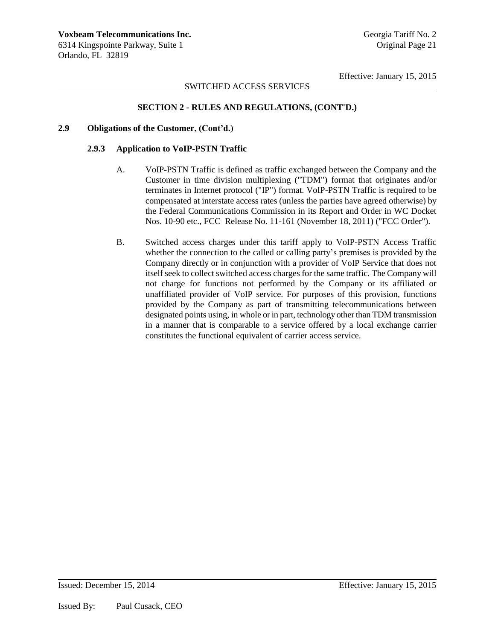# SWITCHED ACCESS SERVICES

# **SECTION 2 - RULES AND REGULATIONS, (CONT'D.)**

### **2.9 Obligations of the Customer, (Cont'd.)**

### **2.9.3 Application to VoIP-PSTN Traffic**

- A. VoIP-PSTN Traffic is defined as traffic exchanged between the Company and the Customer in time division multiplexing ("TDM") format that originates and/or terminates in Internet protocol ("IP") format. VoIP-PSTN Traffic is required to be compensated at interstate access rates (unless the parties have agreed otherwise) by the Federal Communications Commission in its Report and Order in WC Docket Nos. 10-90 etc., FCC Release No. 11-161 (November 18, 2011) ("FCC Order").
- B. Switched access charges under this tariff apply to VoIP-PSTN Access Traffic whether the connection to the called or calling party's premises is provided by the Company directly or in conjunction with a provider of VoIP Service that does not itself seek to collect switched access charges for the same traffic. The Company will not charge for functions not performed by the Company or its affiliated or unaffiliated provider of VoIP service. For purposes of this provision, functions provided by the Company as part of transmitting telecommunications between designated points using, in whole or in part, technology other than TDM transmission in a manner that is comparable to a service offered by a local exchange carrier constitutes the functional equivalent of carrier access service.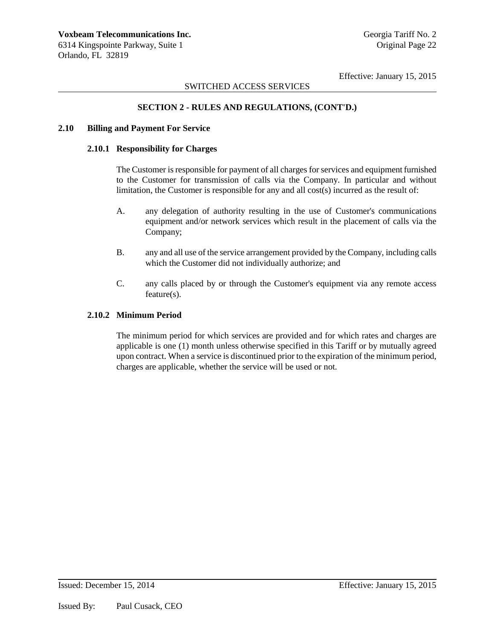# SWITCHED ACCESS SERVICES

# **SECTION 2 - RULES AND REGULATIONS, (CONT'D.)**

#### **2.10 Billing and Payment For Service**

#### **2.10.1 Responsibility for Charges**

The Customer is responsible for payment of all charges for services and equipment furnished to the Customer for transmission of calls via the Company. In particular and without limitation, the Customer is responsible for any and all cost(s) incurred as the result of:

- A. any delegation of authority resulting in the use of Customer's communications equipment and/or network services which result in the placement of calls via the Company;
- B. any and all use of the service arrangement provided by the Company, including calls which the Customer did not individually authorize; and
- C. any calls placed by or through the Customer's equipment via any remote access feature(s).

### **2.10.2 Minimum Period**

The minimum period for which services are provided and for which rates and charges are applicable is one (1) month unless otherwise specified in this Tariff or by mutually agreed upon contract. When a service is discontinued prior to the expiration of the minimum period, charges are applicable, whether the service will be used or not.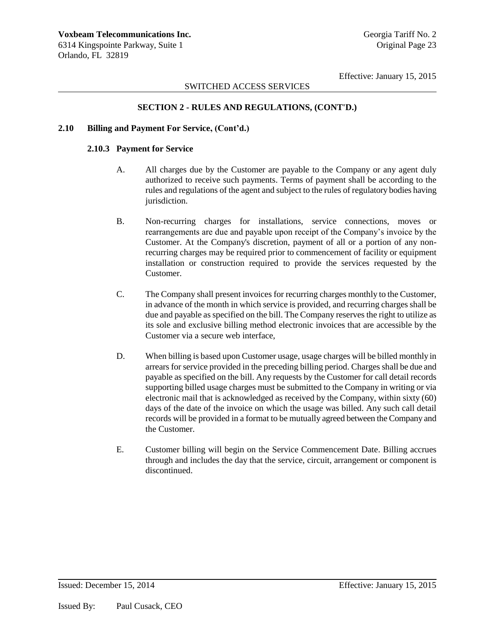# SWITCHED ACCESS SERVICES

# **SECTION 2 - RULES AND REGULATIONS, (CONT'D.)**

### **2.10 Billing and Payment For Service, (Cont'd.)**

### **2.10.3 Payment for Service**

- A. All charges due by the Customer are payable to the Company or any agent duly authorized to receive such payments. Terms of payment shall be according to the rules and regulations of the agent and subject to the rules of regulatory bodies having jurisdiction.
- B. Non-recurring charges for installations, service connections, moves or rearrangements are due and payable upon receipt of the Company's invoice by the Customer. At the Company's discretion, payment of all or a portion of any nonrecurring charges may be required prior to commencement of facility or equipment installation or construction required to provide the services requested by the Customer.
- C. The Company shall present invoices for recurring charges monthly to the Customer, in advance of the month in which service is provided, and recurring charges shall be due and payable as specified on the bill. The Company reserves the right to utilize as its sole and exclusive billing method electronic invoices that are accessible by the Customer via a secure web interface,
- D. When billing is based upon Customer usage, usage charges will be billed monthly in arrears for service provided in the preceding billing period. Charges shall be due and payable as specified on the bill. Any requests by the Customer for call detail records supporting billed usage charges must be submitted to the Company in writing or via electronic mail that is acknowledged as received by the Company, within sixty (60) days of the date of the invoice on which the usage was billed. Any such call detail records will be provided in a format to be mutually agreed between the Company and the Customer.
- E. Customer billing will begin on the Service Commencement Date. Billing accrues through and includes the day that the service, circuit, arrangement or component is discontinued.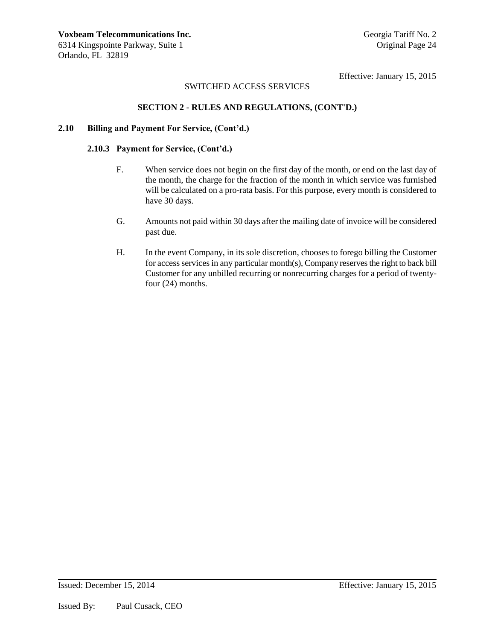# SWITCHED ACCESS SERVICES

# **SECTION 2 - RULES AND REGULATIONS, (CONT'D.)**

#### **2.10 Billing and Payment For Service, (Cont'd.)**

### **2.10.3 Payment for Service, (Cont'd.)**

- F. When service does not begin on the first day of the month, or end on the last day of the month, the charge for the fraction of the month in which service was furnished will be calculated on a pro-rata basis. For this purpose, every month is considered to have 30 days.
- G. Amounts not paid within 30 days after the mailing date of invoice will be considered past due.
- H. In the event Company, in its sole discretion, chooses to forego billing the Customer for access services in any particular month(s), Company reserves the right to back bill Customer for any unbilled recurring or nonrecurring charges for a period of twentyfour (24) months.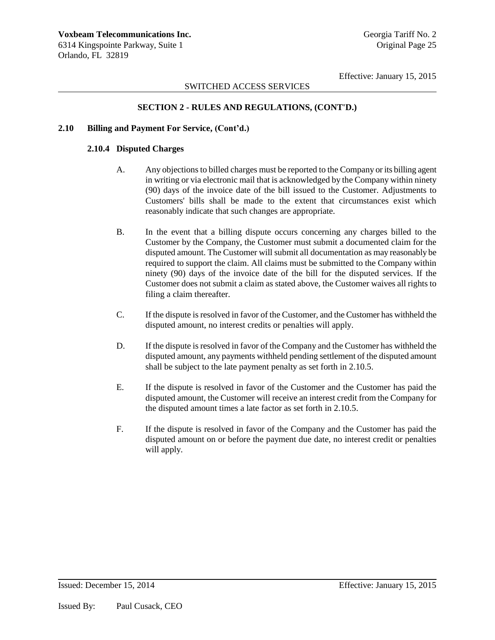# SWITCHED ACCESS SERVICES

# **SECTION 2 - RULES AND REGULATIONS, (CONT'D.)**

### **2.10 Billing and Payment For Service, (Cont'd.)**

### **2.10.4 Disputed Charges**

- A. Any objections to billed charges must be reported to the Company or its billing agent in writing or via electronic mail that is acknowledged by the Company within ninety (90) days of the invoice date of the bill issued to the Customer. Adjustments to Customers' bills shall be made to the extent that circumstances exist which reasonably indicate that such changes are appropriate.
- B. In the event that a billing dispute occurs concerning any charges billed to the Customer by the Company, the Customer must submit a documented claim for the disputed amount. The Customer will submit all documentation as may reasonably be required to support the claim. All claims must be submitted to the Company within ninety (90) days of the invoice date of the bill for the disputed services. If the Customer does not submit a claim as stated above, the Customer waives all rights to filing a claim thereafter.
- C. If the dispute is resolved in favor of the Customer, and the Customer has withheld the disputed amount, no interest credits or penalties will apply.
- D. If the dispute is resolved in favor of the Company and the Customer has withheld the disputed amount, any payments withheld pending settlement of the disputed amount shall be subject to the late payment penalty as set forth in 2.10.5.
- E. If the dispute is resolved in favor of the Customer and the Customer has paid the disputed amount, the Customer will receive an interest credit from the Company for the disputed amount times a late factor as set forth in 2.10.5.
- F. If the dispute is resolved in favor of the Company and the Customer has paid the disputed amount on or before the payment due date, no interest credit or penalties will apply.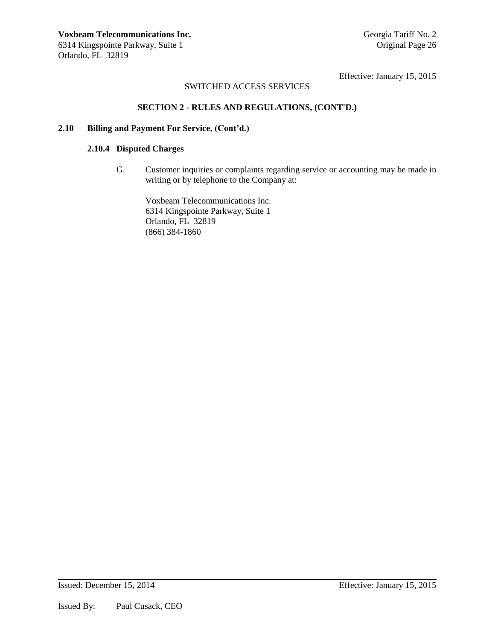# SWITCHED ACCESS SERVICES

# **SECTION 2 - RULES AND REGULATIONS, (CONT'D.)**

### **2.10 Billing and Payment For Service, (Cont'd.)**

### **2.10.4 Disputed Charges**

G. Customer inquiries or complaints regarding service or accounting may be made in writing or by telephone to the Company at:

Voxbeam Telecommunications Inc. 6314 Kingspointe Parkway, Suite 1 Orlando, FL 32819 (866) 384-1860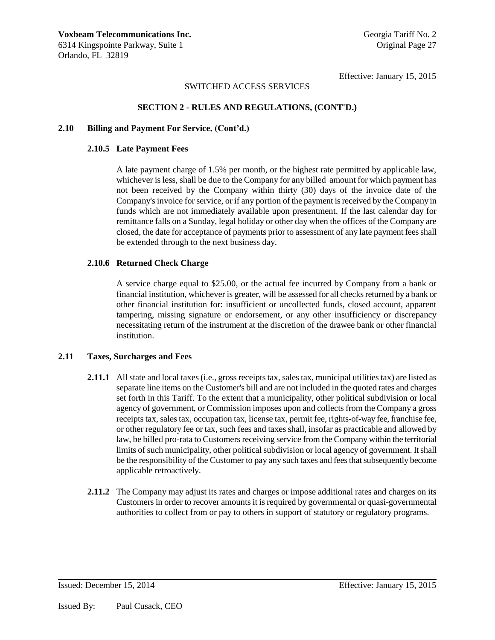### SWITCHED ACCESS SERVICES

### **SECTION 2 - RULES AND REGULATIONS, (CONT'D.)**

#### **2.10 Billing and Payment For Service, (Cont'd.)**

### **2.10.5 Late Payment Fees**

A late payment charge of 1.5% per month, or the highest rate permitted by applicable law, whichever is less, shall be due to the Company for any billed amount for which payment has not been received by the Company within thirty (30) days of the invoice date of the Company's invoice for service, or if any portion of the payment is received by the Company in funds which are not immediately available upon presentment. If the last calendar day for remittance falls on a Sunday, legal holiday or other day when the offices of the Company are closed, the date for acceptance of payments prior to assessment of any late payment fees shall be extended through to the next business day.

### **2.10.6 Returned Check Charge**

A service charge equal to \$25.00, or the actual fee incurred by Company from a bank or financial institution, whichever is greater, will be assessed for all checks returned by a bank or other financial institution for: insufficient or uncollected funds, closed account, apparent tampering, missing signature or endorsement, or any other insufficiency or discrepancy necessitating return of the instrument at the discretion of the drawee bank or other financial institution.

### **2.11 Taxes, Surcharges and Fees**

- **2.11.1** All state and local taxes (i.e., gross receipts tax, sales tax, municipal utilities tax) are listed as separate line items on the Customer's bill and are not included in the quoted rates and charges set forth in this Tariff. To the extent that a municipality, other political subdivision or local agency of government, or Commission imposes upon and collects from the Company a gross receipts tax, sales tax, occupation tax, license tax, permit fee, rights-of-way fee, franchise fee, or other regulatory fee or tax, such fees and taxes shall, insofar as practicable and allowed by law, be billed pro-rata to Customers receiving service from the Company within the territorial limits of such municipality, other political subdivision or local agency of government. It shall be the responsibility of the Customer to pay any such taxes and fees that subsequently become applicable retroactively.
- **2.11.2** The Company may adjust its rates and charges or impose additional rates and charges on its Customers in order to recover amounts it is required by governmental or quasi-governmental authorities to collect from or pay to others in support of statutory or regulatory programs.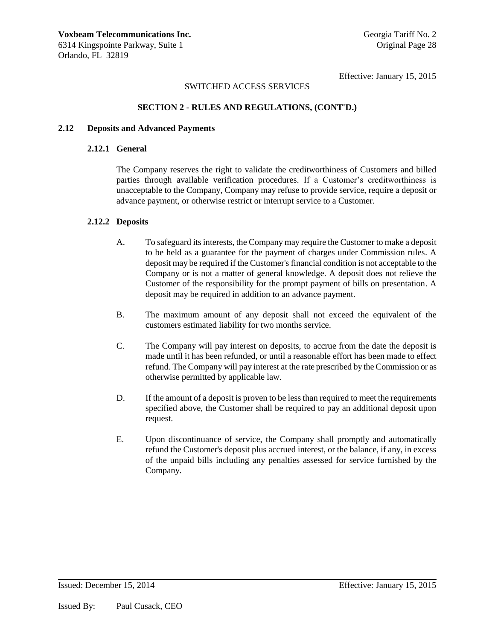### SWITCHED ACCESS SERVICES

### **SECTION 2 - RULES AND REGULATIONS, (CONT'D.)**

### **2.12 Deposits and Advanced Payments**

#### **2.12.1 General**

The Company reserves the right to validate the creditworthiness of Customers and billed parties through available verification procedures. If a Customer's creditworthiness is unacceptable to the Company, Company may refuse to provide service, require a deposit or advance payment, or otherwise restrict or interrupt service to a Customer.

#### **2.12.2 Deposits**

- A. To safeguard its interests, the Company may require the Customer to make a deposit to be held as a guarantee for the payment of charges under Commission rules. A deposit may be required if the Customer's financial condition is not acceptable to the Company or is not a matter of general knowledge. A deposit does not relieve the Customer of the responsibility for the prompt payment of bills on presentation. A deposit may be required in addition to an advance payment.
- B. The maximum amount of any deposit shall not exceed the equivalent of the customers estimated liability for two months service.
- C. The Company will pay interest on deposits, to accrue from the date the deposit is made until it has been refunded, or until a reasonable effort has been made to effect refund. The Company will pay interest at the rate prescribed by the Commission or as otherwise permitted by applicable law.
- D. If the amount of a deposit is proven to be less than required to meet the requirements specified above, the Customer shall be required to pay an additional deposit upon request.
- E. Upon discontinuance of service, the Company shall promptly and automatically refund the Customer's deposit plus accrued interest, or the balance, if any, in excess of the unpaid bills including any penalties assessed for service furnished by the Company.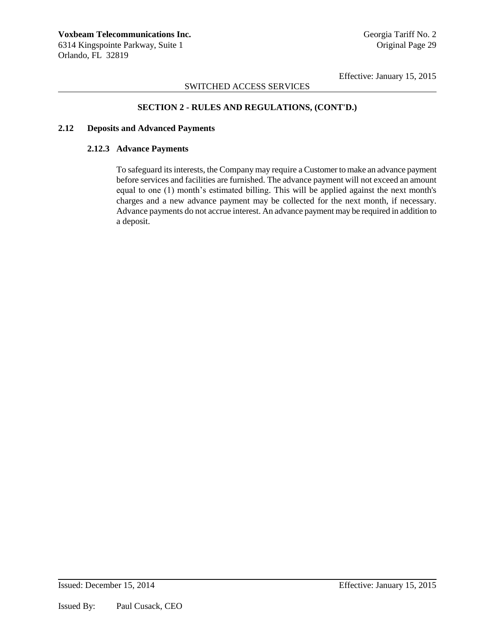# SWITCHED ACCESS SERVICES

# **SECTION 2 - RULES AND REGULATIONS, (CONT'D.)**

### **2.12 Deposits and Advanced Payments**

### **2.12.3 Advance Payments**

To safeguard its interests, the Company may require a Customer to make an advance payment before services and facilities are furnished. The advance payment will not exceed an amount equal to one (1) month's estimated billing. This will be applied against the next month's charges and a new advance payment may be collected for the next month, if necessary. Advance payments do not accrue interest. An advance payment may be required in addition to a deposit.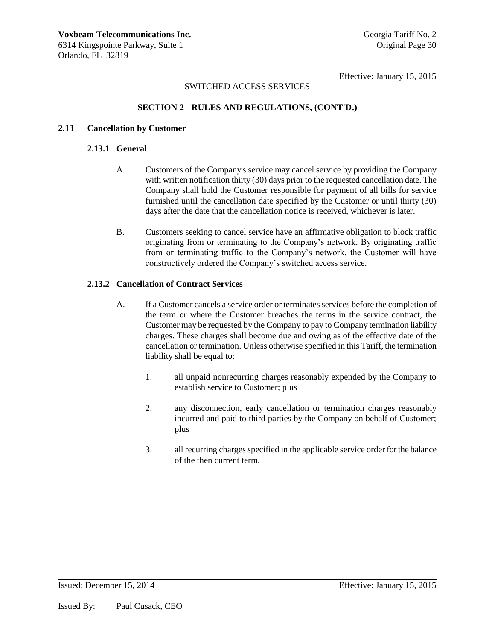# SWITCHED ACCESS SERVICES

# **SECTION 2 - RULES AND REGULATIONS, (CONT'D.)**

### **2.13 Cancellation by Customer**

### **2.13.1 General**

- A. Customers of the Company's service may cancel service by providing the Company with written notification thirty (30) days prior to the requested cancellation date. The Company shall hold the Customer responsible for payment of all bills for service furnished until the cancellation date specified by the Customer or until thirty (30) days after the date that the cancellation notice is received, whichever is later.
- B. Customers seeking to cancel service have an affirmative obligation to block traffic originating from or terminating to the Company's network. By originating traffic from or terminating traffic to the Company's network, the Customer will have constructively ordered the Company's switched access service.

# **2.13.2 Cancellation of Contract Services**

- A. If a Customer cancels a service order or terminates services before the completion of the term or where the Customer breaches the terms in the service contract, the Customer may be requested by the Company to pay to Company termination liability charges. These charges shall become due and owing as of the effective date of the cancellation or termination. Unless otherwise specified in this Tariff, the termination liability shall be equal to:
	- 1. all unpaid nonrecurring charges reasonably expended by the Company to establish service to Customer; plus
	- 2. any disconnection, early cancellation or termination charges reasonably incurred and paid to third parties by the Company on behalf of Customer; plus
	- 3. all recurring charges specified in the applicable service order for the balance of the then current term.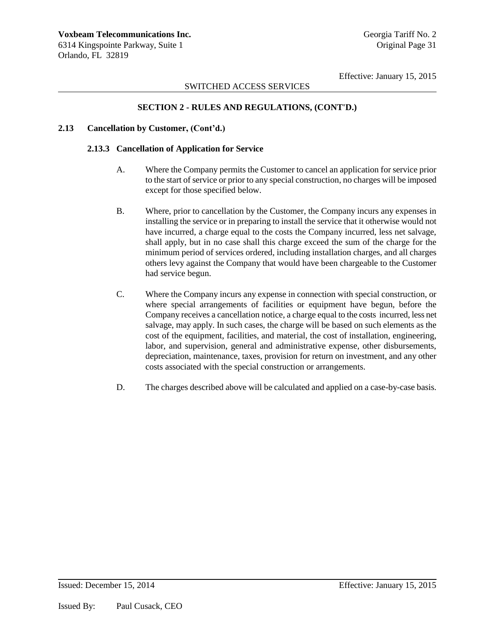# SWITCHED ACCESS SERVICES

# **SECTION 2 - RULES AND REGULATIONS, (CONT'D.)**

### **2.13 Cancellation by Customer, (Cont'd.)**

### **2.13.3 Cancellation of Application for Service**

- A. Where the Company permits the Customer to cancel an application for service prior to the start of service or prior to any special construction, no charges will be imposed except for those specified below.
- B. Where, prior to cancellation by the Customer, the Company incurs any expenses in installing the service or in preparing to install the service that it otherwise would not have incurred, a charge equal to the costs the Company incurred, less net salvage, shall apply, but in no case shall this charge exceed the sum of the charge for the minimum period of services ordered, including installation charges, and all charges others levy against the Company that would have been chargeable to the Customer had service begun.
- C. Where the Company incurs any expense in connection with special construction, or where special arrangements of facilities or equipment have begun, before the Company receives a cancellation notice, a charge equal to the costs incurred, less net salvage, may apply. In such cases, the charge will be based on such elements as the cost of the equipment, facilities, and material, the cost of installation, engineering, labor, and supervision, general and administrative expense, other disbursements, depreciation, maintenance, taxes, provision for return on investment, and any other costs associated with the special construction or arrangements.
- D. The charges described above will be calculated and applied on a case-by-case basis.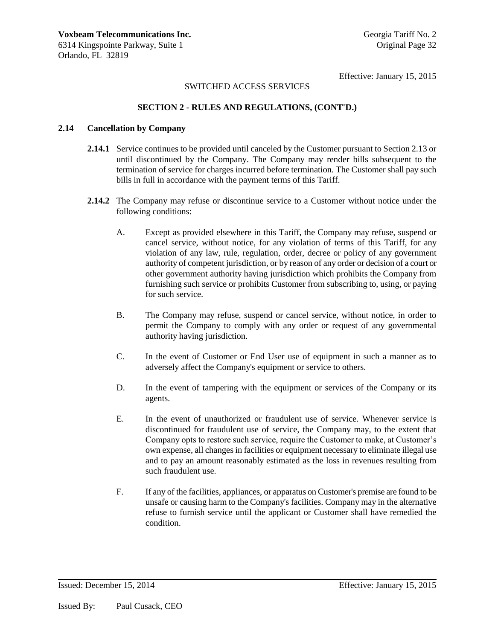# SWITCHED ACCESS SERVICES

### **SECTION 2 - RULES AND REGULATIONS, (CONT'D.)**

#### **2.14 Cancellation by Company**

- **2.14.1** Service continues to be provided until canceled by the Customer pursuant to Section 2.13 or until discontinued by the Company. The Company may render bills subsequent to the termination of service for charges incurred before termination. The Customer shall pay such bills in full in accordance with the payment terms of this Tariff.
- **2.14.2** The Company may refuse or discontinue service to a Customer without notice under the following conditions:
	- A. Except as provided elsewhere in this Tariff, the Company may refuse, suspend or cancel service, without notice, for any violation of terms of this Tariff, for any violation of any law, rule, regulation, order, decree or policy of any government authority of competent jurisdiction, or by reason of any order or decision of a court or other government authority having jurisdiction which prohibits the Company from furnishing such service or prohibits Customer from subscribing to, using, or paying for such service.
	- B. The Company may refuse, suspend or cancel service, without notice, in order to permit the Company to comply with any order or request of any governmental authority having jurisdiction.
	- C. In the event of Customer or End User use of equipment in such a manner as to adversely affect the Company's equipment or service to others.
	- D. In the event of tampering with the equipment or services of the Company or its agents.
	- E. In the event of unauthorized or fraudulent use of service. Whenever service is discontinued for fraudulent use of service, the Company may, to the extent that Company opts to restore such service, require the Customer to make, at Customer's own expense, all changes in facilities or equipment necessary to eliminate illegal use and to pay an amount reasonably estimated as the loss in revenues resulting from such fraudulent use.
	- F. If any of the facilities, appliances, or apparatus on Customer's premise are found to be unsafe or causing harm to the Company's facilities. Company may in the alternative refuse to furnish service until the applicant or Customer shall have remedied the condition.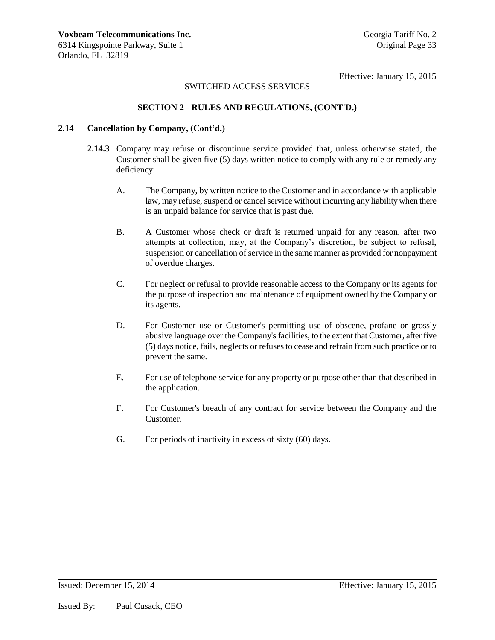# SWITCHED ACCESS SERVICES

### **SECTION 2 - RULES AND REGULATIONS, (CONT'D.)**

#### **2.14 Cancellation by Company, (Cont'd.)**

- **2.14.3** Company may refuse or discontinue service provided that, unless otherwise stated, the Customer shall be given five (5) days written notice to comply with any rule or remedy any deficiency:
	- A. The Company, by written notice to the Customer and in accordance with applicable law, may refuse, suspend or cancel service without incurring any liability when there is an unpaid balance for service that is past due.
	- B. A Customer whose check or draft is returned unpaid for any reason, after two attempts at collection, may, at the Company's discretion, be subject to refusal, suspension or cancellation of service in the same manner as provided for nonpayment of overdue charges.
	- C. For neglect or refusal to provide reasonable access to the Company or its agents for the purpose of inspection and maintenance of equipment owned by the Company or its agents.
	- D. For Customer use or Customer's permitting use of obscene, profane or grossly abusive language over the Company's facilities, to the extent that Customer, after five (5) days notice, fails, neglects or refuses to cease and refrain from such practice or to prevent the same.
	- E. For use of telephone service for any property or purpose other than that described in the application.
	- F. For Customer's breach of any contract for service between the Company and the Customer.
	- G. For periods of inactivity in excess of sixty (60) days.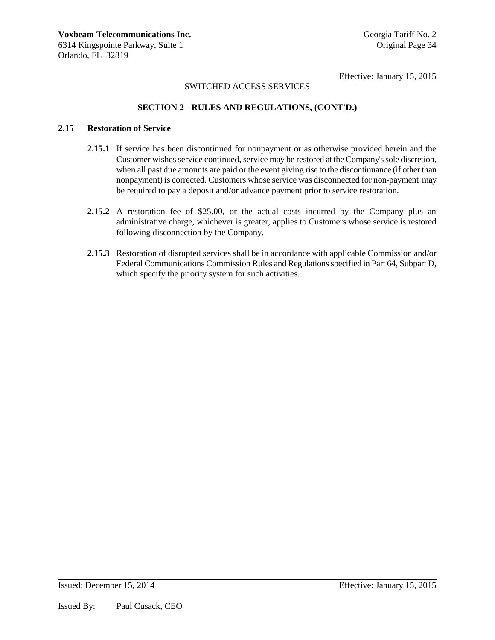# SWITCHED ACCESS SERVICES

# **SECTION 2 - RULES AND REGULATIONS, (CONT'D.)**

### **2.15 Restoration of Service**

- **2.15.1** If service has been discontinued for nonpayment or as otherwise provided herein and the Customer wishes service continued, service may be restored at the Company's sole discretion, when all past due amounts are paid or the event giving rise to the discontinuance (if other than nonpayment) is corrected. Customers whose service was disconnected for non-payment may be required to pay a deposit and/or advance payment prior to service restoration.
- **2.15.2** A restoration fee of \$25.00, or the actual costs incurred by the Company plus an administrative charge, whichever is greater, applies to Customers whose service is restored following disconnection by the Company.
- **2.15.3** Restoration of disrupted services shall be in accordance with applicable Commission and/or Federal Communications Commission Rules and Regulations specified in Part 64, Subpart D, which specify the priority system for such activities.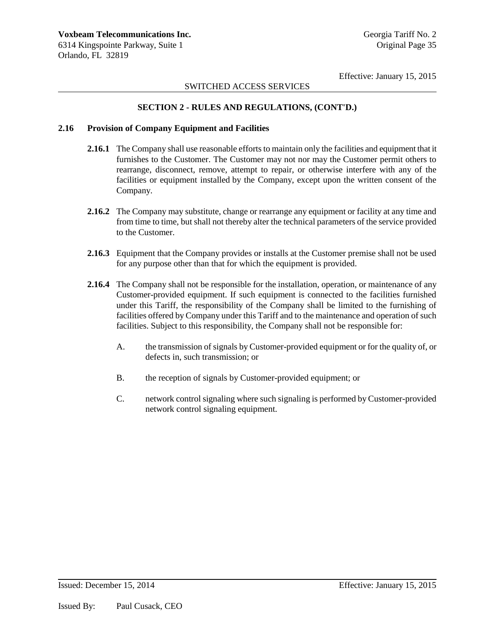# SWITCHED ACCESS SERVICES

# **SECTION 2 - RULES AND REGULATIONS, (CONT'D.)**

#### **2.16 Provision of Company Equipment and Facilities**

- **2.16.1** The Company shall use reasonable efforts to maintain only the facilities and equipment that it furnishes to the Customer. The Customer may not nor may the Customer permit others to rearrange, disconnect, remove, attempt to repair, or otherwise interfere with any of the facilities or equipment installed by the Company, except upon the written consent of the Company.
- **2.16.2** The Company may substitute, change or rearrange any equipment or facility at any time and from time to time, but shall not thereby alter the technical parameters of the service provided to the Customer.
- **2.16.3** Equipment that the Company provides or installs at the Customer premise shall not be used for any purpose other than that for which the equipment is provided.
- **2.16.4** The Company shall not be responsible for the installation, operation, or maintenance of any Customer-provided equipment. If such equipment is connected to the facilities furnished under this Tariff, the responsibility of the Company shall be limited to the furnishing of facilities offered by Company under this Tariff and to the maintenance and operation of such facilities. Subject to this responsibility, the Company shall not be responsible for:
	- A. the transmission of signals by Customer-provided equipment or for the quality of, or defects in, such transmission; or
	- B. the reception of signals by Customer-provided equipment; or
	- C. network control signaling where such signaling is performed by Customer-provided network control signaling equipment.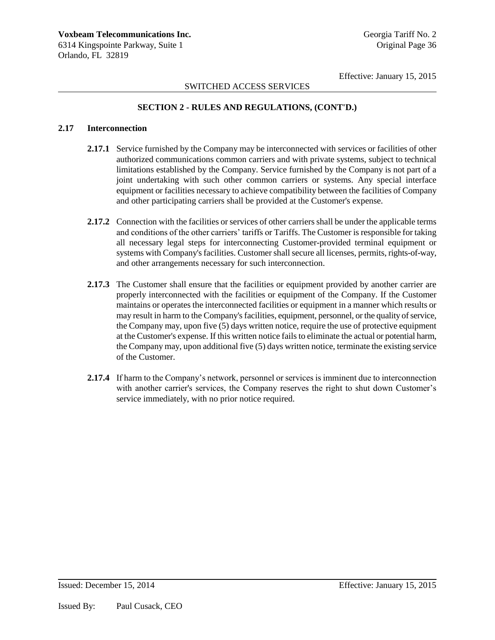# SWITCHED ACCESS SERVICES

# **SECTION 2 - RULES AND REGULATIONS, (CONT'D.)**

## **2.17 Interconnection**

- **2.17.1** Service furnished by the Company may be interconnected with services or facilities of other authorized communications common carriers and with private systems, subject to technical limitations established by the Company. Service furnished by the Company is not part of a joint undertaking with such other common carriers or systems. Any special interface equipment or facilities necessary to achieve compatibility between the facilities of Company and other participating carriers shall be provided at the Customer's expense.
- 2.17.2 Connection with the facilities or services of other carriers shall be under the applicable terms and conditions of the other carriers' tariffs or Tariffs. The Customer is responsible for taking all necessary legal steps for interconnecting Customer-provided terminal equipment or systems with Company's facilities. Customer shall secure all licenses, permits, rights-of-way, and other arrangements necessary for such interconnection.
- 2.17.3 The Customer shall ensure that the facilities or equipment provided by another carrier are properly interconnected with the facilities or equipment of the Company. If the Customer maintains or operates the interconnected facilities or equipment in a manner which results or may result in harm to the Company's facilities, equipment, personnel, or the quality of service, the Company may, upon five (5) days written notice, require the use of protective equipment at the Customer's expense. If this written notice fails to eliminate the actual or potential harm, the Company may, upon additional five (5) days written notice, terminate the existing service of the Customer.
- **2.17.4** If harm to the Company's network, personnel or services is imminent due to interconnection with another carrier's services, the Company reserves the right to shut down Customer's service immediately, with no prior notice required.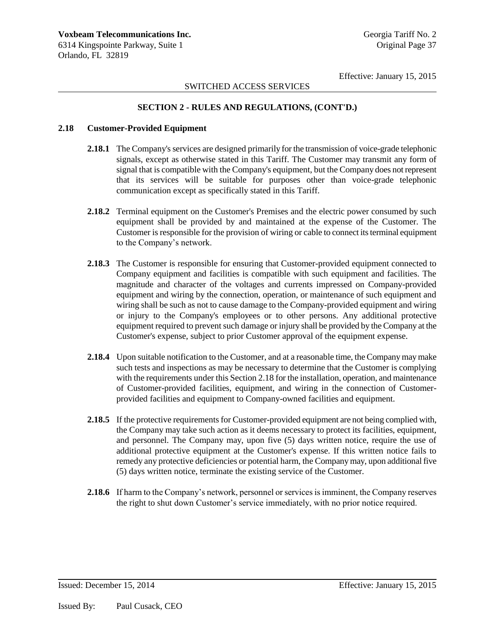## SWITCHED ACCESS SERVICES

## **SECTION 2 - RULES AND REGULATIONS, (CONT'D.)**

#### **2.18 Customer-Provided Equipment**

- **2.18.1** The Company's services are designed primarily for the transmission of voice-grade telephonic signals, except as otherwise stated in this Tariff. The Customer may transmit any form of signal that is compatible with the Company's equipment, but the Company does not represent that its services will be suitable for purposes other than voice-grade telephonic communication except as specifically stated in this Tariff.
- **2.18.2** Terminal equipment on the Customer's Premises and the electric power consumed by such equipment shall be provided by and maintained at the expense of the Customer. The Customer is responsible for the provision of wiring or cable to connect its terminal equipment to the Company's network.
- **2.18.3** The Customer is responsible for ensuring that Customer-provided equipment connected to Company equipment and facilities is compatible with such equipment and facilities. The magnitude and character of the voltages and currents impressed on Company-provided equipment and wiring by the connection, operation, or maintenance of such equipment and wiring shall be such as not to cause damage to the Company-provided equipment and wiring or injury to the Company's employees or to other persons. Any additional protective equipment required to prevent such damage or injury shall be provided by the Company at the Customer's expense, subject to prior Customer approval of the equipment expense.
- **2.18.4** Upon suitable notification to the Customer, and at a reasonable time, the Company may make such tests and inspections as may be necessary to determine that the Customer is complying with the requirements under this Section 2.18 for the installation, operation, and maintenance of Customer-provided facilities, equipment, and wiring in the connection of Customerprovided facilities and equipment to Company-owned facilities and equipment.
- **2.18.5** If the protective requirements for Customer-provided equipment are not being complied with, the Company may take such action as it deems necessary to protect its facilities, equipment, and personnel. The Company may, upon five (5) days written notice, require the use of additional protective equipment at the Customer's expense. If this written notice fails to remedy any protective deficiencies or potential harm, the Company may, upon additional five (5) days written notice, terminate the existing service of the Customer.
- **2.18.6** If harm to the Company's network, personnel or services is imminent, the Company reserves the right to shut down Customer's service immediately, with no prior notice required.

Issued: December 15, 2014 Effective: January 15, 2015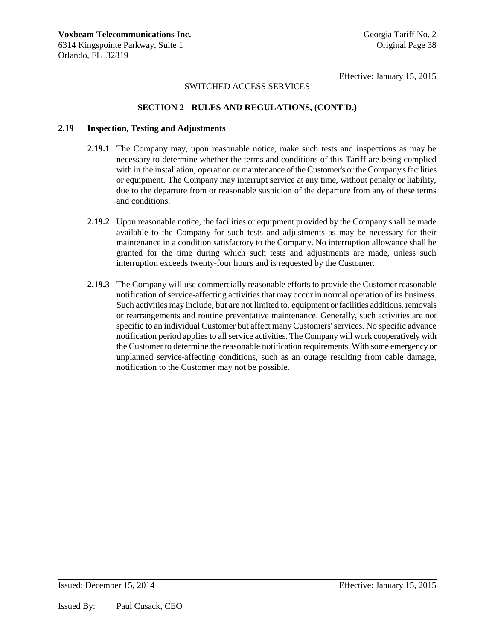# SWITCHED ACCESS SERVICES

## **SECTION 2 - RULES AND REGULATIONS, (CONT'D.)**

#### **2.19 Inspection, Testing and Adjustments**

- **2.19.1** The Company may, upon reasonable notice, make such tests and inspections as may be necessary to determine whether the terms and conditions of this Tariff are being complied with in the installation, operation or maintenance of the Customer's or the Company's facilities or equipment. The Company may interrupt service at any time, without penalty or liability, due to the departure from or reasonable suspicion of the departure from any of these terms and conditions.
- **2.19.2** Upon reasonable notice, the facilities or equipment provided by the Company shall be made available to the Company for such tests and adjustments as may be necessary for their maintenance in a condition satisfactory to the Company. No interruption allowance shall be granted for the time during which such tests and adjustments are made, unless such interruption exceeds twenty-four hours and is requested by the Customer.
- **2.19.3** The Company will use commercially reasonable efforts to provide the Customer reasonable notification of service-affecting activities that may occur in normal operation of its business. Such activities may include, but are not limited to, equipment or facilities additions, removals or rearrangements and routine preventative maintenance. Generally, such activities are not specific to an individual Customer but affect many Customers' services. No specific advance notification period applies to all service activities. The Company will work cooperatively with the Customer to determine the reasonable notification requirements. With some emergency or unplanned service-affecting conditions, such as an outage resulting from cable damage, notification to the Customer may not be possible.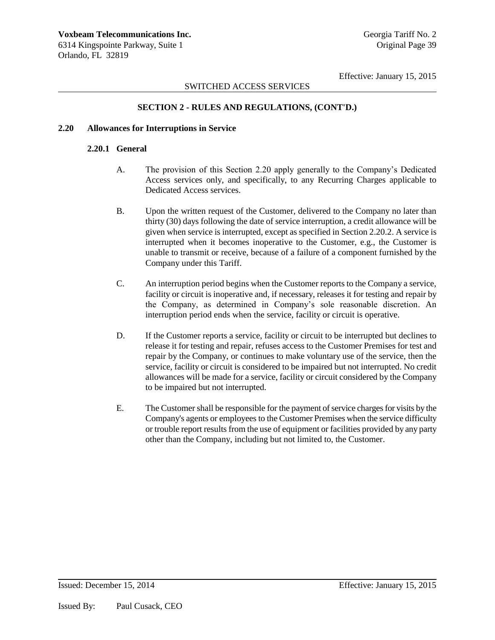# SWITCHED ACCESS SERVICES

# **SECTION 2 - RULES AND REGULATIONS, (CONT'D.)**

#### **2.20 Allowances for Interruptions in Service**

### **2.20.1 General**

- A. The provision of this Section 2.20 apply generally to the Company's Dedicated Access services only, and specifically, to any Recurring Charges applicable to Dedicated Access services.
- B. Upon the written request of the Customer, delivered to the Company no later than thirty (30) days following the date of service interruption, a credit allowance will be given when service is interrupted, except as specified in Section 2.20.2. A service is interrupted when it becomes inoperative to the Customer, e.g., the Customer is unable to transmit or receive, because of a failure of a component furnished by the Company under this Tariff.
- C. An interruption period begins when the Customer reports to the Company a service, facility or circuit is inoperative and, if necessary, releases it for testing and repair by the Company, as determined in Company's sole reasonable discretion. An interruption period ends when the service, facility or circuit is operative.
- D. If the Customer reports a service, facility or circuit to be interrupted but declines to release it for testing and repair, refuses access to the Customer Premises for test and repair by the Company, or continues to make voluntary use of the service, then the service, facility or circuit is considered to be impaired but not interrupted. No credit allowances will be made for a service, facility or circuit considered by the Company to be impaired but not interrupted.
- E. The Customer shall be responsible for the payment of service chargesfor visits by the Company's agents or employees to the Customer Premises when the service difficulty or trouble report results from the use of equipment or facilities provided by any party other than the Company, including but not limited to, the Customer.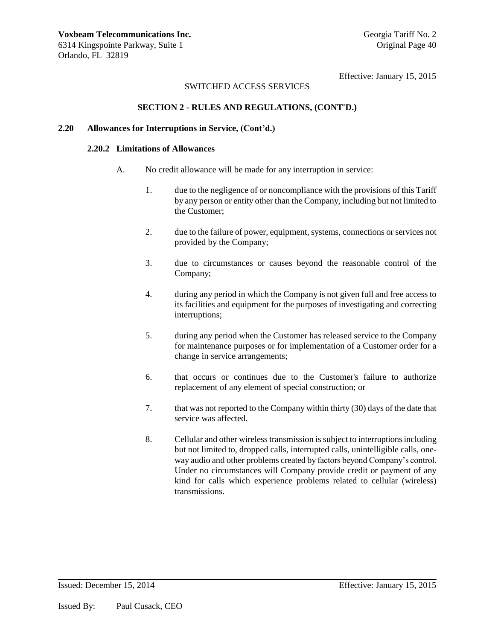# SWITCHED ACCESS SERVICES

# **SECTION 2 - RULES AND REGULATIONS, (CONT'D.)**

#### **2.20 Allowances for Interruptions in Service, (Cont'd.)**

#### **2.20.2 Limitations of Allowances**

- A. No credit allowance will be made for any interruption in service:
	- 1. due to the negligence of or noncompliance with the provisions of this Tariff by any person or entity other than the Company, including but not limited to the Customer;
	- 2. due to the failure of power, equipment, systems, connections or services not provided by the Company;
	- 3. due to circumstances or causes beyond the reasonable control of the Company;
	- 4. during any period in which the Company is not given full and free access to its facilities and equipment for the purposes of investigating and correcting interruptions;
	- 5. during any period when the Customer has released service to the Company for maintenance purposes or for implementation of a Customer order for a change in service arrangements;
	- 6. that occurs or continues due to the Customer's failure to authorize replacement of any element of special construction; or
	- 7. that was not reported to the Company within thirty (30) days of the date that service was affected.
	- 8. Cellular and other wireless transmission is subject to interruptions including but not limited to, dropped calls, interrupted calls, unintelligible calls, oneway audio and other problems created by factors beyond Company's control. Under no circumstances will Company provide credit or payment of any kind for calls which experience problems related to cellular (wireless) transmissions.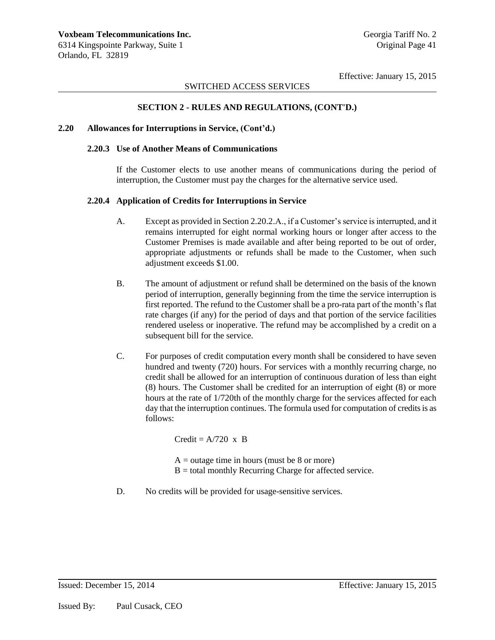## SWITCHED ACCESS SERVICES

## **SECTION 2 - RULES AND REGULATIONS, (CONT'D.)**

#### **2.20 Allowances for Interruptions in Service, (Cont'd.)**

#### **2.20.3 Use of Another Means of Communications**

If the Customer elects to use another means of communications during the period of interruption, the Customer must pay the charges for the alternative service used.

#### **2.20.4 Application of Credits for Interruptions in Service**

- A. Except as provided in Section 2.20.2.A., if a Customer's service is interrupted, and it remains interrupted for eight normal working hours or longer after access to the Customer Premises is made available and after being reported to be out of order, appropriate adjustments or refunds shall be made to the Customer, when such adjustment exceeds \$1.00.
- B. The amount of adjustment or refund shall be determined on the basis of the known period of interruption, generally beginning from the time the service interruption is first reported. The refund to the Customer shall be a pro-rata part of the month's flat rate charges (if any) for the period of days and that portion of the service facilities rendered useless or inoperative. The refund may be accomplished by a credit on a subsequent bill for the service.
- C. For purposes of credit computation every month shall be considered to have seven hundred and twenty (720) hours. For services with a monthly recurring charge, no credit shall be allowed for an interruption of continuous duration of less than eight (8) hours. The Customer shall be credited for an interruption of eight (8) or more hours at the rate of 1/720th of the monthly charge for the services affected for each day that the interruption continues. The formula used for computation of credits is as follows:

 $Credit = A/720$  x B

 $A =$  outage time in hours (must be 8 or more)  $B =$  total monthly Recurring Charge for affected service.

D. No credits will be provided for usage-sensitive services.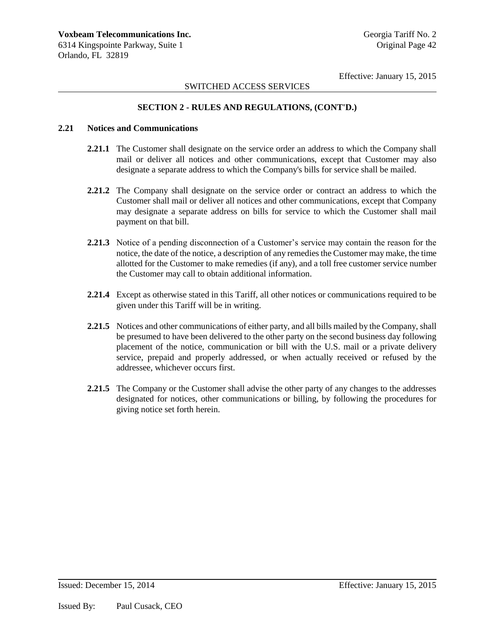## SWITCHED ACCESS SERVICES

## **SECTION 2 - RULES AND REGULATIONS, (CONT'D.)**

#### **2.21 Notices and Communications**

- **2.21.1** The Customer shall designate on the service order an address to which the Company shall mail or deliver all notices and other communications, except that Customer may also designate a separate address to which the Company's bills for service shall be mailed.
- **2.21.2** The Company shall designate on the service order or contract an address to which the Customer shall mail or deliver all notices and other communications, except that Company may designate a separate address on bills for service to which the Customer shall mail payment on that bill.
- **2.21.3** Notice of a pending disconnection of a Customer's service may contain the reason for the notice, the date of the notice, a description of any remedies the Customer may make, the time allotted for the Customer to make remedies (if any), and a toll free customer service number the Customer may call to obtain additional information.
- **2.21.4** Except as otherwise stated in this Tariff, all other notices or communications required to be given under this Tariff will be in writing.
- **2.21.5** Notices and other communications of either party, and all bills mailed by the Company, shall be presumed to have been delivered to the other party on the second business day following placement of the notice, communication or bill with the U.S. mail or a private delivery service, prepaid and properly addressed, or when actually received or refused by the addressee, whichever occurs first.
- **2.21.5** The Company or the Customer shall advise the other party of any changes to the addresses designated for notices, other communications or billing, by following the procedures for giving notice set forth herein.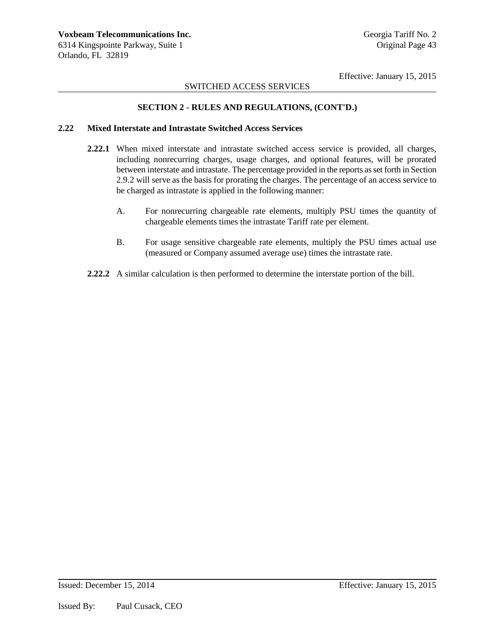## SWITCHED ACCESS SERVICES

# **SECTION 2 - RULES AND REGULATIONS, (CONT'D.)**

#### **2.22 Mixed Interstate and Intrastate Switched Access Services**

- **2.22.1** When mixed interstate and intrastate switched access service is provided, all charges, including nonrecurring charges, usage charges, and optional features, will be prorated between interstate and intrastate. The percentage provided in the reports as set forth in Section 2.9.2 will serve as the basis for prorating the charges. The percentage of an access service to be charged as intrastate is applied in the following manner:
	- A. For nonrecurring chargeable rate elements, multiply PSU times the quantity of chargeable elements times the intrastate Tariff rate per element.
	- B. For usage sensitive chargeable rate elements, multiply the PSU times actual use (measured or Company assumed average use) times the intrastate rate.
- **2.22.2** A similar calculation is then performed to determine the interstate portion of the bill.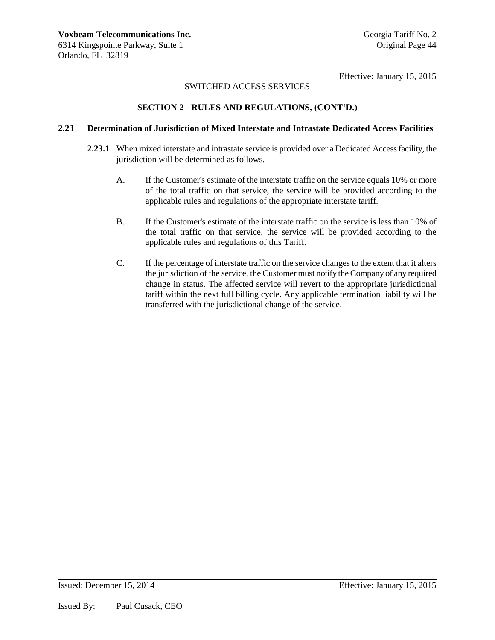# SWITCHED ACCESS SERVICES

# **SECTION 2 - RULES AND REGULATIONS, (CONT'D.)**

### **2.23 Determination of Jurisdiction of Mixed Interstate and Intrastate Dedicated Access Facilities**

- **2.23.1** When mixed interstate and intrastate service is provided over a Dedicated Access facility, the jurisdiction will be determined as follows.
	- A. If the Customer's estimate of the interstate traffic on the service equals 10% or more of the total traffic on that service, the service will be provided according to the applicable rules and regulations of the appropriate interstate tariff.
	- B. If the Customer's estimate of the interstate traffic on the service is less than 10% of the total traffic on that service, the service will be provided according to the applicable rules and regulations of this Tariff.
	- C. If the percentage of interstate traffic on the service changes to the extent that it alters the jurisdiction of the service, the Customer must notify the Company of any required change in status. The affected service will revert to the appropriate jurisdictional tariff within the next full billing cycle. Any applicable termination liability will be transferred with the jurisdictional change of the service.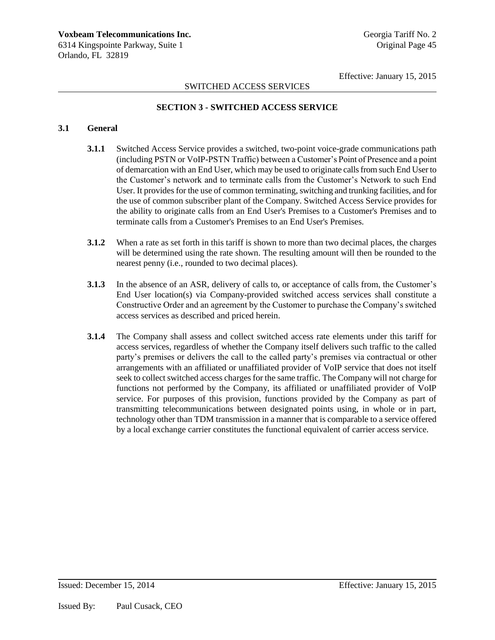# SWITCHED ACCESS SERVICES

# **SECTION 3 - SWITCHED ACCESS SERVICE**

## **3.1 General**

- **3.1.1** Switched Access Service provides a switched, two-point voice-grade communications path (including PSTN or VoIP-PSTN Traffic) between a Customer's Point of Presence and a point of demarcation with an End User, which may be used to originate calls from such End User to the Customer's network and to terminate calls from the Customer's Network to such End User. It provides for the use of common terminating, switching and trunking facilities, and for the use of common subscriber plant of the Company. Switched Access Service provides for the ability to originate calls from an End User's Premises to a Customer's Premises and to terminate calls from a Customer's Premises to an End User's Premises.
- **3.1.2** When a rate as set forth in this tariff is shown to more than two decimal places, the charges will be determined using the rate shown. The resulting amount will then be rounded to the nearest penny (i.e., rounded to two decimal places).
- **3.1.3** In the absence of an ASR, delivery of calls to, or acceptance of calls from, the Customer's End User location(s) via Company-provided switched access services shall constitute a Constructive Order and an agreement by the Customer to purchase the Company's switched access services as described and priced herein.
- **3.1.4** The Company shall assess and collect switched access rate elements under this tariff for access services, regardless of whether the Company itself delivers such traffic to the called party's premises or delivers the call to the called party's premises via contractual or other arrangements with an affiliated or unaffiliated provider of VoIP service that does not itself seek to collect switched access charges for the same traffic. The Company will not charge for functions not performed by the Company, its affiliated or unaffiliated provider of VoIP service. For purposes of this provision, functions provided by the Company as part of transmitting telecommunications between designated points using, in whole or in part, technology other than TDM transmission in a manner that is comparable to a service offered by a local exchange carrier constitutes the functional equivalent of carrier access service.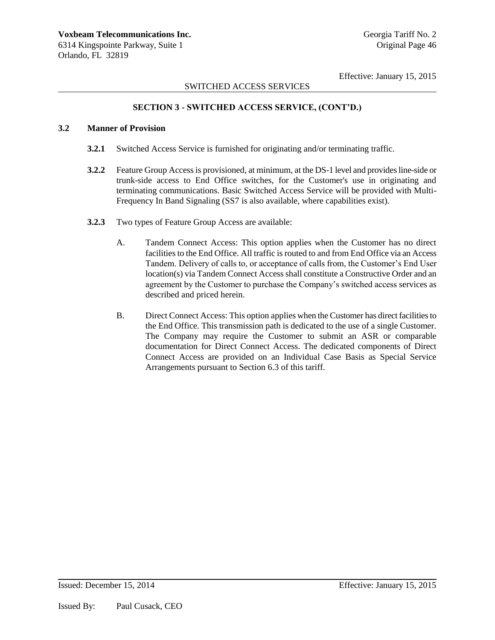## SWITCHED ACCESS SERVICES

## **SECTION 3 - SWITCHED ACCESS SERVICE, (CONT'D.)**

#### **3.2 Manner of Provision**

- **3.2.1** Switched Access Service is furnished for originating and/or terminating traffic.
- **3.2.2** Feature Group Access is provisioned, at minimum, at the DS-1 level and provides line-side or trunk-side access to End Office switches, for the Customer's use in originating and terminating communications. Basic Switched Access Service will be provided with Multi-Frequency In Band Signaling (SS7 is also available, where capabilities exist).
- **3.2.3** Two types of Feature Group Access are available:
	- A. Tandem Connect Access: This option applies when the Customer has no direct facilities to the End Office. All traffic is routed to and from End Office via an Access Tandem. Delivery of calls to, or acceptance of calls from, the Customer's End User location(s) via Tandem Connect Access shall constitute a Constructive Order and an agreement by the Customer to purchase the Company's switched access services as described and priced herein.
	- B. Direct Connect Access: This option applies when the Customer has direct facilities to the End Office. This transmission path is dedicated to the use of a single Customer. The Company may require the Customer to submit an ASR or comparable documentation for Direct Connect Access. The dedicated components of Direct Connect Access are provided on an Individual Case Basis as Special Service Arrangements pursuant to Section 6.3 of this tariff.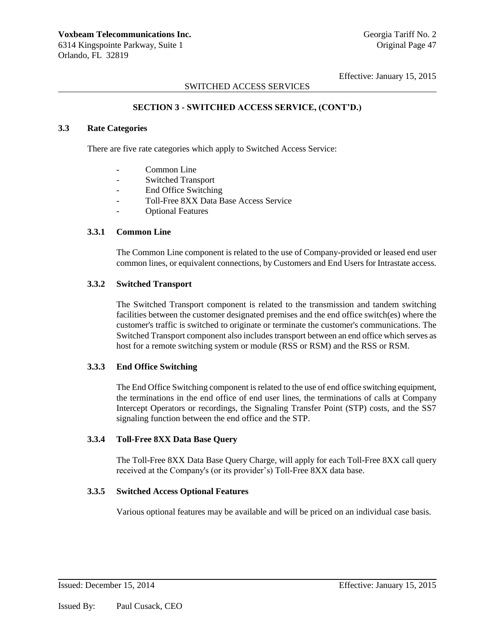# SWITCHED ACCESS SERVICES

# **SECTION 3 - SWITCHED ACCESS SERVICE, (CONT'D.)**

#### **3.3 Rate Categories**

There are five rate categories which apply to Switched Access Service:

- Common Line
- Switched Transport
- End Office Switching
- Toll-Free 8XX Data Base Access Service
- Optional Features

# **3.3.1 Common Line**

The Common Line component is related to the use of Company-provided or leased end user common lines, or equivalent connections, by Customers and End Users for Intrastate access.

# **3.3.2 Switched Transport**

The Switched Transport component is related to the transmission and tandem switching facilities between the customer designated premises and the end office switch(es) where the customer's traffic is switched to originate or terminate the customer's communications. The Switched Transport component also includes transport between an end office which serves as host for a remote switching system or module (RSS or RSM) and the RSS or RSM.

# **3.3.3 End Office Switching**

The End Office Switching component is related to the use of end office switching equipment, the terminations in the end office of end user lines, the terminations of calls at Company Intercept Operators or recordings, the Signaling Transfer Point (STP) costs, and the SS7 signaling function between the end office and the STP.

#### **3.3.4 Toll-Free 8XX Data Base Query**

The Toll-Free 8XX Data Base Query Charge, will apply for each Toll-Free 8XX call query received at the Company's (or its provider's) Toll-Free 8XX data base.

# **3.3.5 Switched Access Optional Features**

Various optional features may be available and will be priced on an individual case basis.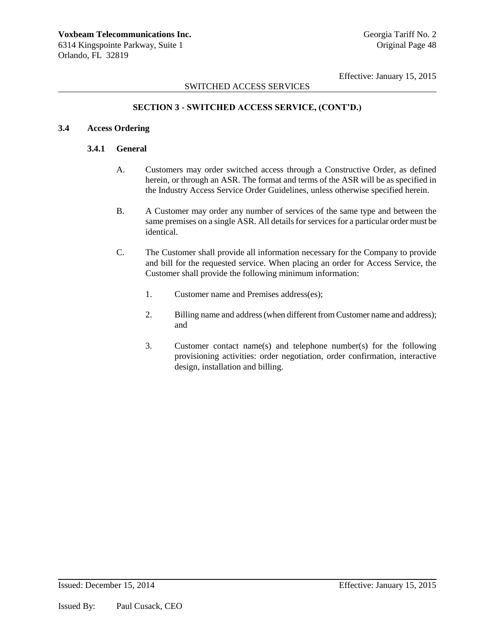# SWITCHED ACCESS SERVICES

# **SECTION 3 - SWITCHED ACCESS SERVICE, (CONT'D.)**

### **3.4 Access Ordering**

### **3.4.1 General**

- A. Customers may order switched access through a Constructive Order, as defined herein, or through an ASR. The format and terms of the ASR will be as specified in the Industry Access Service Order Guidelines, unless otherwise specified herein.
- B. A Customer may order any number of services of the same type and between the same premises on a single ASR. All details for services for a particular order must be identical.
- C. The Customer shall provide all information necessary for the Company to provide and bill for the requested service. When placing an order for Access Service, the Customer shall provide the following minimum information:
	- 1. Customer name and Premises address(es);
	- 2. Billing name and address (when different from Customer name and address); and
	- 3. Customer contact name(s) and telephone number(s) for the following provisioning activities: order negotiation, order confirmation, interactive design, installation and billing.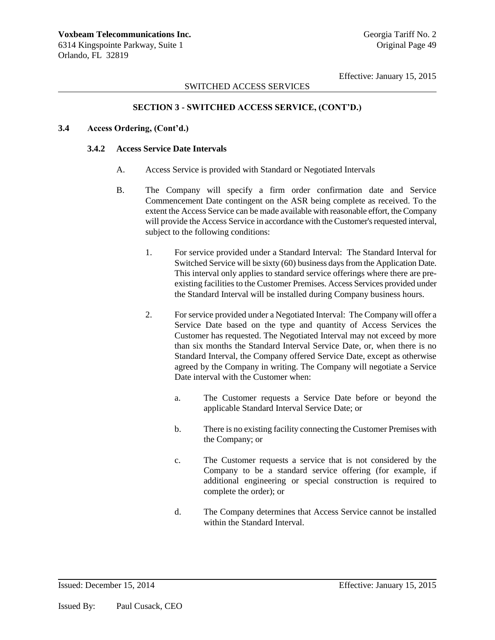## SWITCHED ACCESS SERVICES

## **SECTION 3 - SWITCHED ACCESS SERVICE, (CONT'D.)**

#### **3.4 Access Ordering, (Cont'd.)**

#### **3.4.2 Access Service Date Intervals**

- A. Access Service is provided with Standard or Negotiated Intervals
- B. The Company will specify a firm order confirmation date and Service Commencement Date contingent on the ASR being complete as received. To the extent the Access Service can be made available with reasonable effort, the Company will provide the Access Service in accordance with the Customer's requested interval, subject to the following conditions:
	- 1. For service provided under a Standard Interval: The Standard Interval for Switched Service will be sixty (60) business days from the Application Date. This interval only applies to standard service offerings where there are preexisting facilities to the Customer Premises. Access Services provided under the Standard Interval will be installed during Company business hours.
	- 2. For service provided under a Negotiated Interval: The Company will offer a Service Date based on the type and quantity of Access Services the Customer has requested. The Negotiated Interval may not exceed by more than six months the Standard Interval Service Date, or, when there is no Standard Interval, the Company offered Service Date, except as otherwise agreed by the Company in writing. The Company will negotiate a Service Date interval with the Customer when:
		- a. The Customer requests a Service Date before or beyond the applicable Standard Interval Service Date; or
		- b. There is no existing facility connecting the Customer Premises with the Company; or
		- c. The Customer requests a service that is not considered by the Company to be a standard service offering (for example, if additional engineering or special construction is required to complete the order); or
		- d. The Company determines that Access Service cannot be installed within the Standard Interval.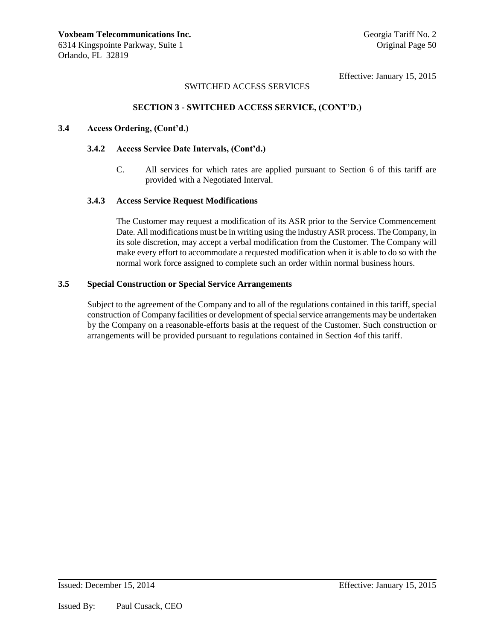### **SECTION 3 - SWITCHED ACCESS SERVICE, (CONT'D.)**

#### **3.4 Access Ordering, (Cont'd.)**

### **3.4.2 Access Service Date Intervals, (Cont'd.)**

C. All services for which rates are applied pursuant to Section 6 of this tariff are provided with a Negotiated Interval.

## **3.4.3 Access Service Request Modifications**

The Customer may request a modification of its ASR prior to the Service Commencement Date. All modifications must be in writing using the industry ASR process. The Company, in its sole discretion, may accept a verbal modification from the Customer. The Company will make every effort to accommodate a requested modification when it is able to do so with the normal work force assigned to complete such an order within normal business hours.

### **3.5 Special Construction or Special Service Arrangements**

Subject to the agreement of the Company and to all of the regulations contained in this tariff, special construction of Company facilities or development of special service arrangements may be undertaken by the Company on a reasonable-efforts basis at the request of the Customer. Such construction or arrangements will be provided pursuant to regulations contained in Section 4of this tariff.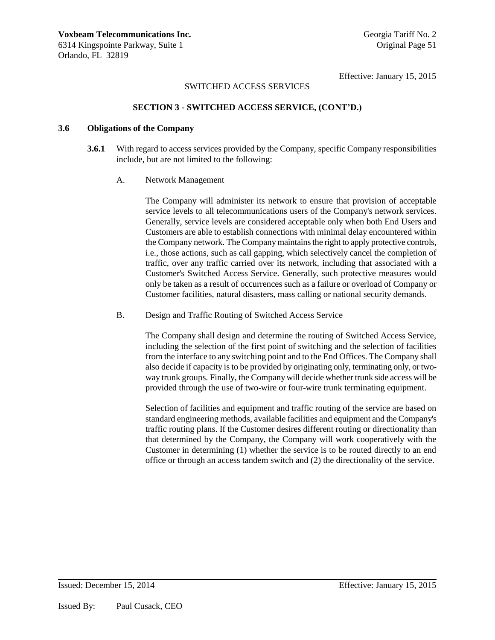## SWITCHED ACCESS SERVICES

## **SECTION 3 - SWITCHED ACCESS SERVICE, (CONT'D.)**

### **3.6 Obligations of the Company**

- **3.6.1** With regard to access services provided by the Company, specific Company responsibilities include, but are not limited to the following:
	- A. Network Management

The Company will administer its network to ensure that provision of acceptable service levels to all telecommunications users of the Company's network services. Generally, service levels are considered acceptable only when both End Users and Customers are able to establish connections with minimal delay encountered within the Company network. The Company maintains the right to apply protective controls, i.e., those actions, such as call gapping, which selectively cancel the completion of traffic, over any traffic carried over its network, including that associated with a Customer's Switched Access Service. Generally, such protective measures would only be taken as a result of occurrences such as a failure or overload of Company or Customer facilities, natural disasters, mass calling or national security demands.

B. Design and Traffic Routing of Switched Access Service

The Company shall design and determine the routing of Switched Access Service, including the selection of the first point of switching and the selection of facilities from the interface to any switching point and to the End Offices. The Company shall also decide if capacity is to be provided by originating only, terminating only, or twoway trunk groups. Finally, the Company will decide whether trunk side access will be provided through the use of two-wire or four-wire trunk terminating equipment.

Selection of facilities and equipment and traffic routing of the service are based on standard engineering methods, available facilities and equipment and the Company's traffic routing plans. If the Customer desires different routing or directionality than that determined by the Company, the Company will work cooperatively with the Customer in determining (1) whether the service is to be routed directly to an end office or through an access tandem switch and (2) the directionality of the service.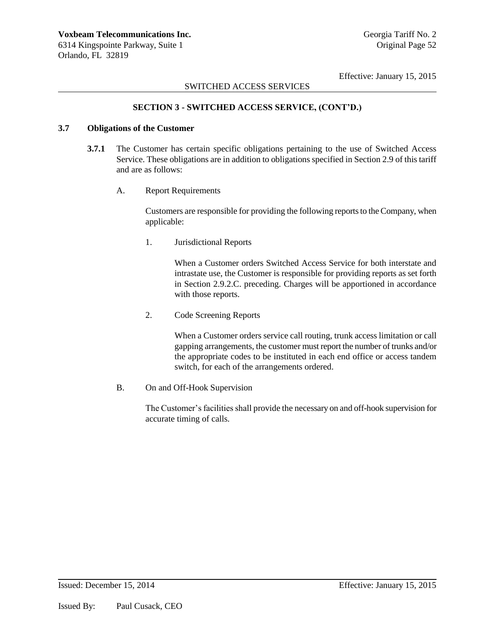## SWITCHED ACCESS SERVICES

### **SECTION 3 - SWITCHED ACCESS SERVICE, (CONT'D.)**

#### **3.7 Obligations of the Customer**

- **3.7.1** The Customer has certain specific obligations pertaining to the use of Switched Access Service. These obligations are in addition to obligations specified in Section 2.9 of this tariff and are as follows:
	- A. Report Requirements

Customers are responsible for providing the following reports to the Company, when applicable:

1. Jurisdictional Reports

When a Customer orders Switched Access Service for both interstate and intrastate use, the Customer is responsible for providing reports as set forth in Section 2.9.2.C. preceding. Charges will be apportioned in accordance with those reports.

2. Code Screening Reports

When a Customer orders service call routing, trunk access limitation or call gapping arrangements, the customer must report the number of trunks and/or the appropriate codes to be instituted in each end office or access tandem switch, for each of the arrangements ordered.

B. On and Off-Hook Supervision

The Customer's facilities shall provide the necessary on and off-hook supervision for accurate timing of calls.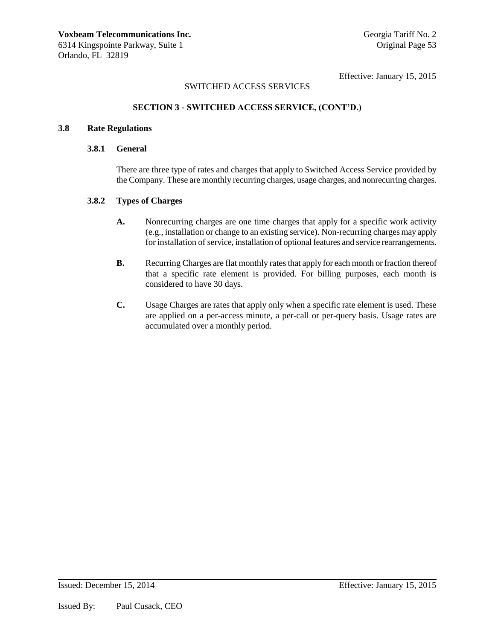# SWITCHED ACCESS SERVICES

# **SECTION 3 - SWITCHED ACCESS SERVICE, (CONT'D.)**

#### **3.8 Rate Regulations**

#### **3.8.1 General**

There are three type of rates and charges that apply to Switched Access Service provided by the Company. These are monthly recurring charges, usage charges, and nonrecurring charges.

## **3.8.2 Types of Charges**

- **A.** Nonrecurring charges are one time charges that apply for a specific work activity (e.g., installation or change to an existing service). Non-recurring charges may apply for installation of service, installation of optional features and service rearrangements.
- **B.** Recurring Charges are flat monthly rates that apply for each month or fraction thereof that a specific rate element is provided. For billing purposes, each month is considered to have 30 days.
- **C.** Usage Charges are rates that apply only when a specific rate element is used. These are applied on a per-access minute, a per-call or per-query basis. Usage rates are accumulated over a monthly period.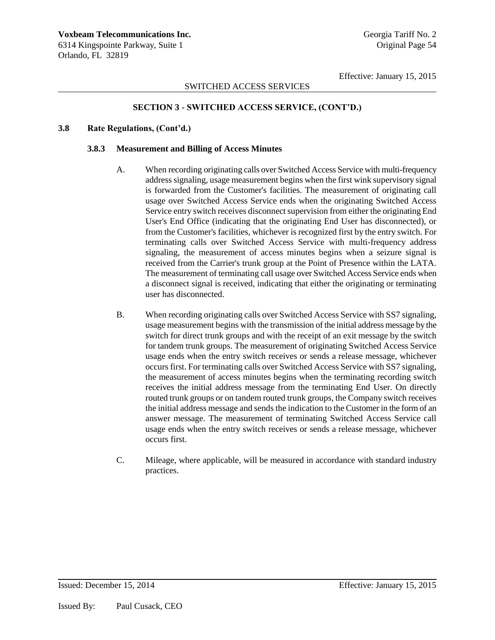## **SECTION 3 - SWITCHED ACCESS SERVICE, (CONT'D.)**

#### **3.8 Rate Regulations, (Cont'd.)**

### **3.8.3 Measurement and Billing of Access Minutes**

- A. When recording originating calls over Switched Access Service with multi-frequency address signaling, usage measurement begins when the first wink supervisory signal is forwarded from the Customer's facilities. The measurement of originating call usage over Switched Access Service ends when the originating Switched Access Service entry switch receives disconnect supervision from either the originating End User's End Office (indicating that the originating End User has disconnected), or from the Customer's facilities, whichever is recognized first by the entry switch. For terminating calls over Switched Access Service with multi-frequency address signaling, the measurement of access minutes begins when a seizure signal is received from the Carrier's trunk group at the Point of Presence within the LATA. The measurement of terminating call usage over Switched Access Service ends when a disconnect signal is received, indicating that either the originating or terminating user has disconnected.
- B. When recording originating calls over Switched Access Service with SS7 signaling, usage measurement begins with the transmission of the initial address message by the switch for direct trunk groups and with the receipt of an exit message by the switch for tandem trunk groups. The measurement of originating Switched Access Service usage ends when the entry switch receives or sends a release message, whichever occurs first. For terminating calls over Switched Access Service with SS7 signaling, the measurement of access minutes begins when the terminating recording switch receives the initial address message from the terminating End User. On directly routed trunk groups or on tandem routed trunk groups, the Company switch receives the initial address message and sends the indication to the Customer in the form of an answer message. The measurement of terminating Switched Access Service call usage ends when the entry switch receives or sends a release message, whichever occurs first.
- C. Mileage, where applicable, will be measured in accordance with standard industry practices.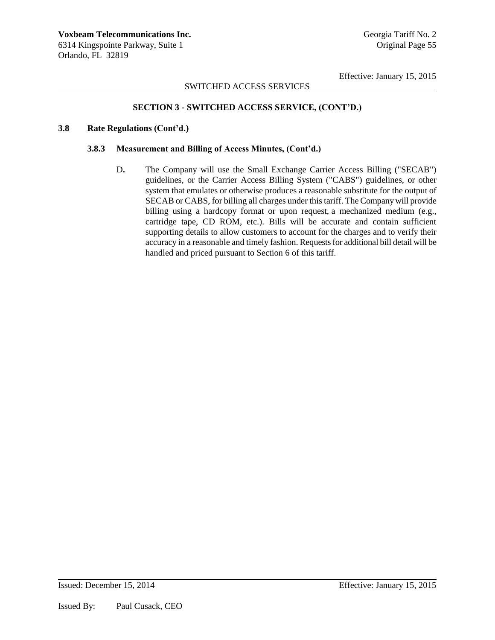# SWITCHED ACCESS SERVICES

## **SECTION 3 - SWITCHED ACCESS SERVICE, (CONT'D.)**

#### **3.8 Rate Regulations (Cont'd.)**

#### **3.8.3 Measurement and Billing of Access Minutes, (Cont'd.)**

D**.** The Company will use the Small Exchange Carrier Access Billing ("SECAB") guidelines, or the Carrier Access Billing System ("CABS") guidelines, or other system that emulates or otherwise produces a reasonable substitute for the output of SECAB or CABS, for billing all charges under this tariff. The Company will provide billing using a hardcopy format or upon request, a mechanized medium (e.g., cartridge tape, CD ROM, etc.). Bills will be accurate and contain sufficient supporting details to allow customers to account for the charges and to verify their accuracy in a reasonable and timely fashion. Requests for additional bill detail will be handled and priced pursuant to Section 6 of this tariff.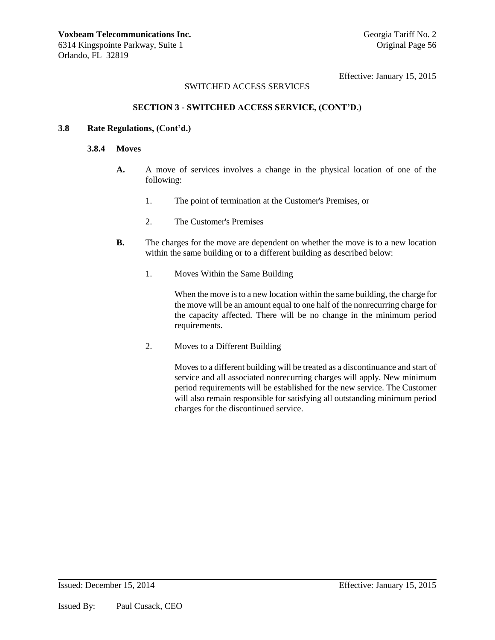# SWITCHED ACCESS SERVICES

## **SECTION 3 - SWITCHED ACCESS SERVICE, (CONT'D.)**

#### **3.8 Rate Regulations, (Cont'd.)**

#### **3.8.4 Moves**

- **A.** A move of services involves a change in the physical location of one of the following:
	- 1. The point of termination at the Customer's Premises, or
	- 2. The Customer's Premises
- **B.** The charges for the move are dependent on whether the move is to a new location within the same building or to a different building as described below:
	- 1. Moves Within the Same Building

When the move is to a new location within the same building, the charge for the move will be an amount equal to one half of the nonrecurring charge for the capacity affected. There will be no change in the minimum period requirements.

2. Moves to a Different Building

Moves to a different building will be treated as a discontinuance and start of service and all associated nonrecurring charges will apply. New minimum period requirements will be established for the new service. The Customer will also remain responsible for satisfying all outstanding minimum period charges for the discontinued service.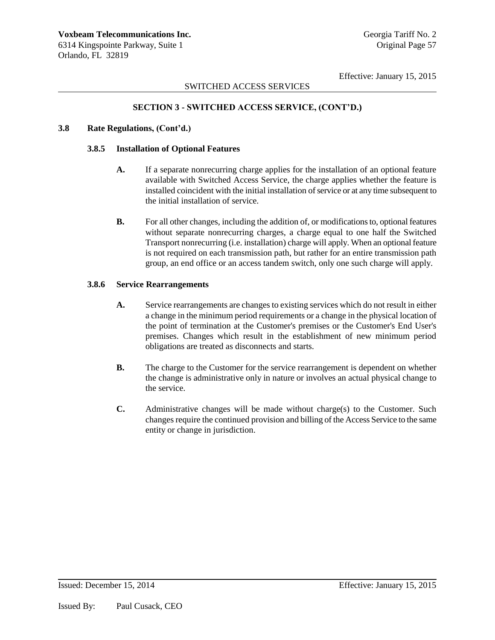### **SECTION 3 - SWITCHED ACCESS SERVICE, (CONT'D.)**

#### **3.8 Rate Regulations, (Cont'd.)**

#### **3.8.5 Installation of Optional Features**

- **A.** If a separate nonrecurring charge applies for the installation of an optional feature available with Switched Access Service, the charge applies whether the feature is installed coincident with the initial installation of service or at any time subsequent to the initial installation of service.
- **B.** For all other changes, including the addition of, or modifications to, optional features without separate nonrecurring charges, a charge equal to one half the Switched Transport nonrecurring (i.e. installation) charge will apply. When an optional feature is not required on each transmission path, but rather for an entire transmission path group, an end office or an access tandem switch, only one such charge will apply.

# **3.8.6 Service Rearrangements**

- **A.** Service rearrangements are changes to existing services which do not result in either a change in the minimum period requirements or a change in the physical location of the point of termination at the Customer's premises or the Customer's End User's premises. Changes which result in the establishment of new minimum period obligations are treated as disconnects and starts.
- **B.** The charge to the Customer for the service rearrangement is dependent on whether the change is administrative only in nature or involves an actual physical change to the service.
- **C.** Administrative changes will be made without charge(s) to the Customer. Such changes require the continued provision and billing of the Access Service to the same entity or change in jurisdiction.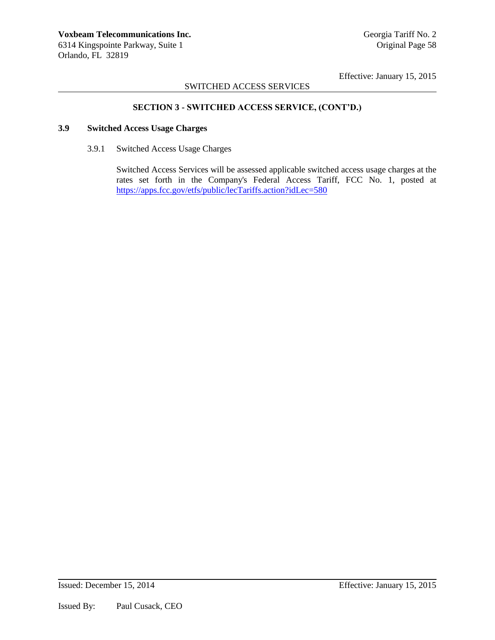# SWITCHED ACCESS SERVICES

# **SECTION 3 - SWITCHED ACCESS SERVICE, (CONT'D.)**

# **3.9 Switched Access Usage Charges**

3.9.1 Switched Access Usage Charges

Switched Access Services will be assessed applicable switched access usage charges at the rates set forth in the Company's Federal Access Tariff, FCC No. 1, posted at <https://apps.fcc.gov/etfs/public/lecTariffs.action?idLec=580>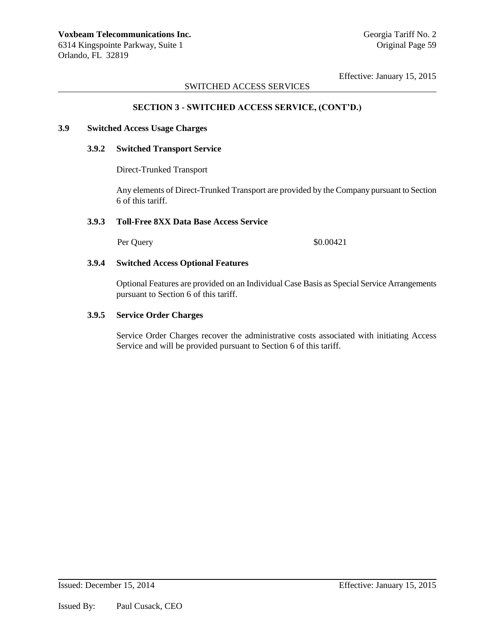# SWITCHED ACCESS SERVICES

## **SECTION 3 - SWITCHED ACCESS SERVICE, (CONT'D.)**

#### **3.9 Switched Access Usage Charges**

#### **3.9.2 Switched Transport Service**

Direct-Trunked Transport

Any elements of Direct-Trunked Transport are provided by the Company pursuant to Section 6 of this tariff.

#### **3.9.3 Toll-Free 8XX Data Base Access Service**

Per Query \$0.00421

#### **3.9.4 Switched Access Optional Features**

Optional Features are provided on an Individual Case Basis as Special Service Arrangements pursuant to Section 6 of this tariff.

#### **3.9.5 Service Order Charges**

Service Order Charges recover the administrative costs associated with initiating Access Service and will be provided pursuant to Section 6 of this tariff.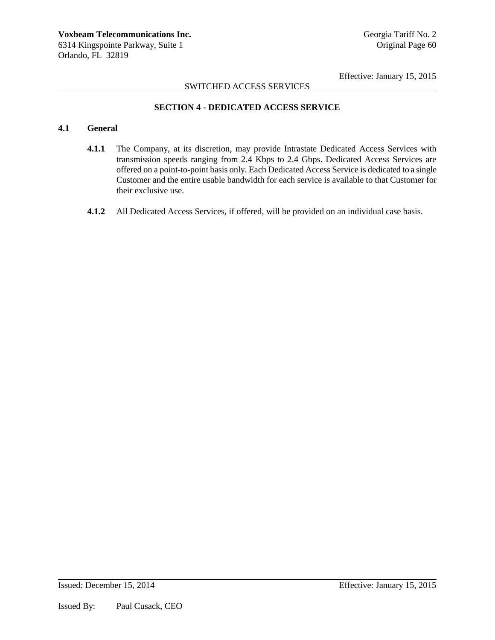# SWITCHED ACCESS SERVICES

# **SECTION 4 - DEDICATED ACCESS SERVICE**

# **4.1 General**

- **4.1.1** The Company, at its discretion, may provide Intrastate Dedicated Access Services with transmission speeds ranging from 2.4 Kbps to 2.4 Gbps. Dedicated Access Services are offered on a point-to-point basis only. Each Dedicated Access Service is dedicated to a single Customer and the entire usable bandwidth for each service is available to that Customer for their exclusive use.
- **4.1.2** All Dedicated Access Services, if offered, will be provided on an individual case basis.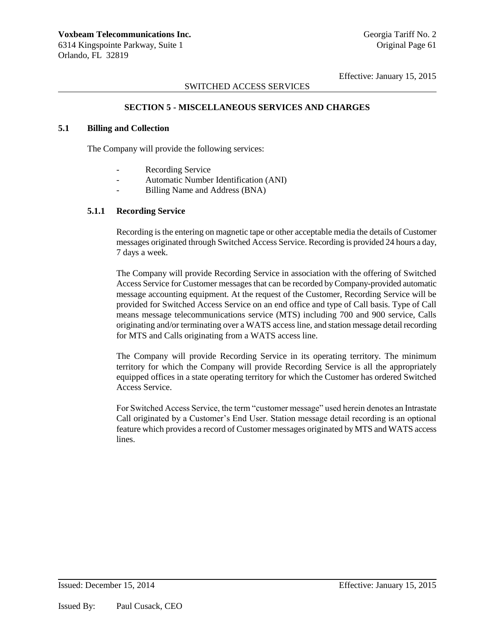# SWITCHED ACCESS SERVICES

### **SECTION 5 - MISCELLANEOUS SERVICES AND CHARGES**

# **5.1 Billing and Collection**

The Company will provide the following services:

- Recording Service
- Automatic Number Identification (ANI)
- Billing Name and Address (BNA)

### **5.1.1 Recording Service**

Recording is the entering on magnetic tape or other acceptable media the details of Customer messages originated through Switched Access Service. Recording is provided 24 hours a day, 7 days a week.

The Company will provide Recording Service in association with the offering of Switched Access Service for Customer messages that can be recorded by Company-provided automatic message accounting equipment. At the request of the Customer, Recording Service will be provided for Switched Access Service on an end office and type of Call basis. Type of Call means message telecommunications service (MTS) including 700 and 900 service, Calls originating and/or terminating over a WATS access line, and station message detail recording for MTS and Calls originating from a WATS access line.

The Company will provide Recording Service in its operating territory. The minimum territory for which the Company will provide Recording Service is all the appropriately equipped offices in a state operating territory for which the Customer has ordered Switched Access Service.

For Switched Access Service, the term "customer message" used herein denotes an Intrastate Call originated by a Customer's End User. Station message detail recording is an optional feature which provides a record of Customer messages originated by MTS and WATS access lines.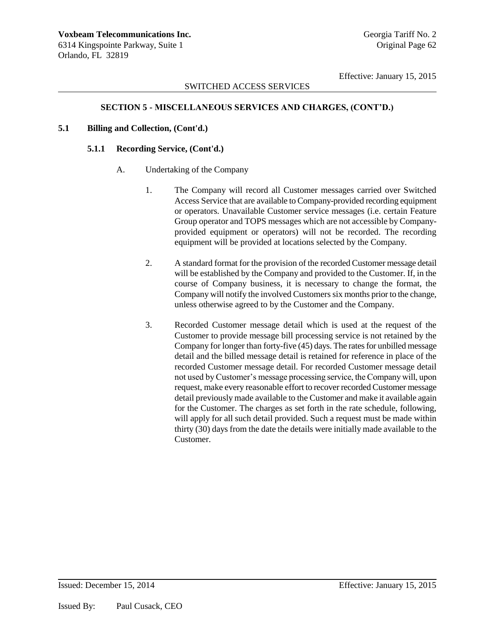# SWITCHED ACCESS SERVICES

# **SECTION 5 - MISCELLANEOUS SERVICES AND CHARGES, (CONT'D.)**

### **5.1 Billing and Collection, (Cont'd.)**

#### **5.1.1 Recording Service, (Cont'd.)**

- A. Undertaking of the Company
	- 1. The Company will record all Customer messages carried over Switched Access Service that are available to Company-provided recording equipment or operators. Unavailable Customer service messages (i.e. certain Feature Group operator and TOPS messages which are not accessible by Companyprovided equipment or operators) will not be recorded. The recording equipment will be provided at locations selected by the Company.
	- 2. A standard format for the provision of the recorded Customer message detail will be established by the Company and provided to the Customer. If, in the course of Company business, it is necessary to change the format, the Company will notify the involved Customers six months prior to the change, unless otherwise agreed to by the Customer and the Company.
	- 3. Recorded Customer message detail which is used at the request of the Customer to provide message bill processing service is not retained by the Company for longer than forty-five (45) days. The rates for unbilled message detail and the billed message detail is retained for reference in place of the recorded Customer message detail. For recorded Customer message detail not used by Customer's message processing service, the Company will, upon request, make every reasonable effort to recover recorded Customer message detail previously made available to the Customer and make it available again for the Customer. The charges as set forth in the rate schedule, following, will apply for all such detail provided. Such a request must be made within thirty (30) days from the date the details were initially made available to the Customer.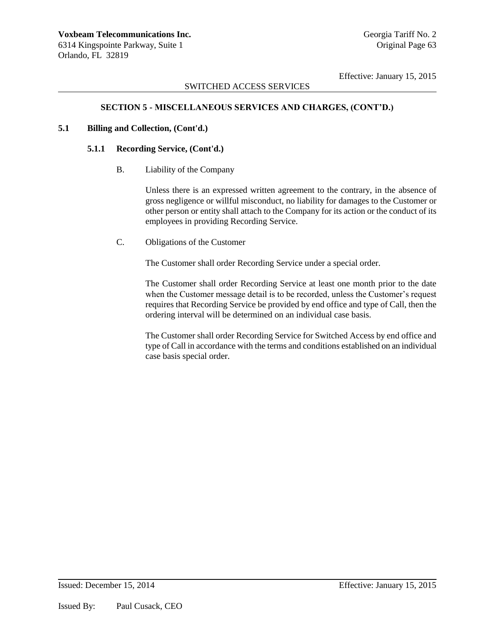# SWITCHED ACCESS SERVICES

# **SECTION 5 - MISCELLANEOUS SERVICES AND CHARGES, (CONT'D.)**

## **5.1 Billing and Collection, (Cont'd.)**

### **5.1.1 Recording Service, (Cont'd.)**

B. Liability of the Company

Unless there is an expressed written agreement to the contrary, in the absence of gross negligence or willful misconduct, no liability for damages to the Customer or other person or entity shall attach to the Company for its action or the conduct of its employees in providing Recording Service.

C. Obligations of the Customer

The Customer shall order Recording Service under a special order.

The Customer shall order Recording Service at least one month prior to the date when the Customer message detail is to be recorded, unless the Customer's request requires that Recording Service be provided by end office and type of Call, then the ordering interval will be determined on an individual case basis.

The Customer shall order Recording Service for Switched Access by end office and type of Call in accordance with the terms and conditions established on an individual case basis special order.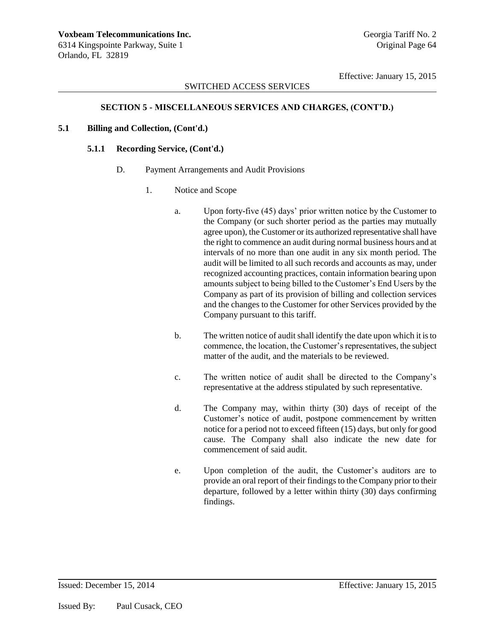# SWITCHED ACCESS SERVICES

# **SECTION 5 - MISCELLANEOUS SERVICES AND CHARGES, (CONT'D.)**

### **5.1 Billing and Collection, (Cont'd.)**

#### **5.1.1 Recording Service, (Cont'd.)**

- D. Payment Arrangements and Audit Provisions
	- 1. Notice and Scope
		- a. Upon forty-five (45) days' prior written notice by the Customer to the Company (or such shorter period as the parties may mutually agree upon), the Customer or its authorized representative shall have the right to commence an audit during normal business hours and at intervals of no more than one audit in any six month period. The audit will be limited to all such records and accounts as may, under recognized accounting practices, contain information bearing upon amounts subject to being billed to the Customer's End Users by the Company as part of its provision of billing and collection services and the changes to the Customer for other Services provided by the Company pursuant to this tariff.
		- b. The written notice of audit shall identify the date upon which it is to commence, the location, the Customer's representatives, the subject matter of the audit, and the materials to be reviewed.
		- c. The written notice of audit shall be directed to the Company's representative at the address stipulated by such representative.
		- d. The Company may, within thirty (30) days of receipt of the Customer's notice of audit, postpone commencement by written notice for a period not to exceed fifteen (15) days, but only for good cause. The Company shall also indicate the new date for commencement of said audit.
		- e. Upon completion of the audit, the Customer's auditors are to provide an oral report of their findings to the Company prior to their departure, followed by a letter within thirty (30) days confirming findings.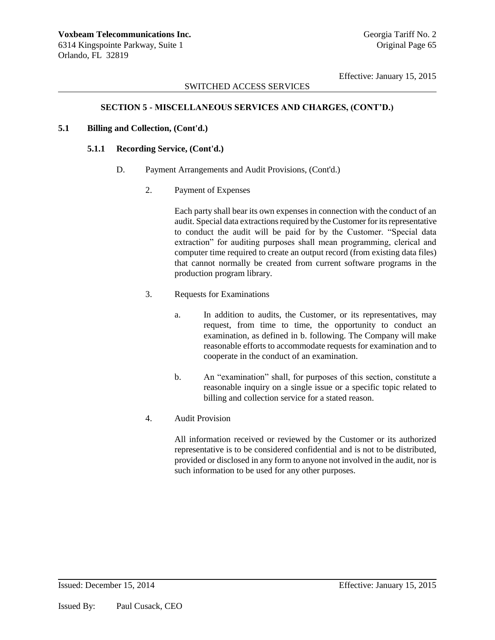## SWITCHED ACCESS SERVICES

# **SECTION 5 - MISCELLANEOUS SERVICES AND CHARGES, (CONT'D.)**

### **5.1 Billing and Collection, (Cont'd.)**

#### **5.1.1 Recording Service, (Cont'd.)**

- D. Payment Arrangements and Audit Provisions, (Cont'd.)
	- 2. Payment of Expenses

Each party shall bear its own expenses in connection with the conduct of an audit. Special data extractions required by the Customer for its representative to conduct the audit will be paid for by the Customer. "Special data extraction" for auditing purposes shall mean programming, clerical and computer time required to create an output record (from existing data files) that cannot normally be created from current software programs in the production program library.

- 3. Requests for Examinations
	- a. In addition to audits, the Customer, or its representatives, may request, from time to time, the opportunity to conduct an examination, as defined in b. following. The Company will make reasonable efforts to accommodate requests for examination and to cooperate in the conduct of an examination.
	- b. An "examination" shall, for purposes of this section, constitute a reasonable inquiry on a single issue or a specific topic related to billing and collection service for a stated reason.
- 4. Audit Provision

All information received or reviewed by the Customer or its authorized representative is to be considered confidential and is not to be distributed, provided or disclosed in any form to anyone not involved in the audit, nor is such information to be used for any other purposes.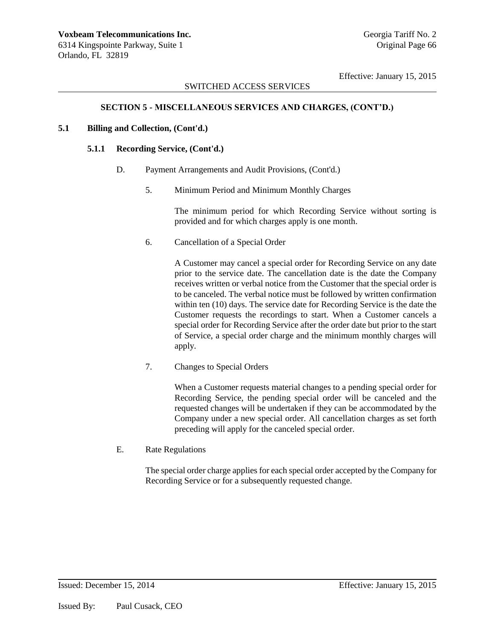# **SECTION 5 - MISCELLANEOUS SERVICES AND CHARGES, (CONT'D.)**

### **5.1 Billing and Collection, (Cont'd.)**

#### **5.1.1 Recording Service, (Cont'd.)**

- D. Payment Arrangements and Audit Provisions, (Cont'd.)
	- 5. Minimum Period and Minimum Monthly Charges

The minimum period for which Recording Service without sorting is provided and for which charges apply is one month.

6. Cancellation of a Special Order

A Customer may cancel a special order for Recording Service on any date prior to the service date. The cancellation date is the date the Company receives written or verbal notice from the Customer that the special order is to be canceled. The verbal notice must be followed by written confirmation within ten (10) days. The service date for Recording Service is the date the Customer requests the recordings to start. When a Customer cancels a special order for Recording Service after the order date but prior to the start of Service, a special order charge and the minimum monthly charges will apply.

7. Changes to Special Orders

When a Customer requests material changes to a pending special order for Recording Service, the pending special order will be canceled and the requested changes will be undertaken if they can be accommodated by the Company under a new special order. All cancellation charges as set forth preceding will apply for the canceled special order.

E. Rate Regulations

The special order charge applies for each special order accepted by the Company for Recording Service or for a subsequently requested change.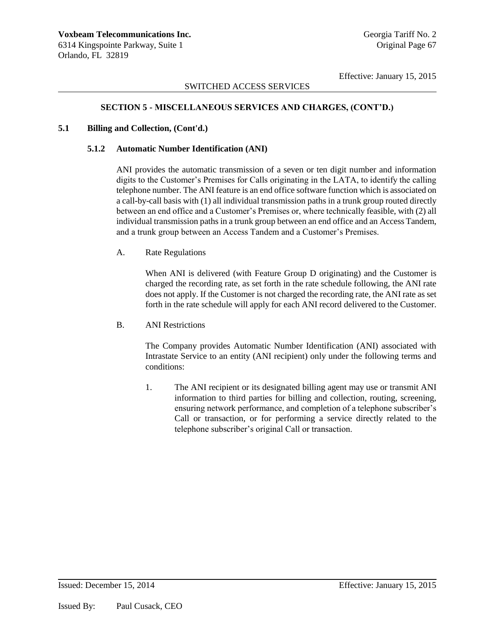## **SECTION 5 - MISCELLANEOUS SERVICES AND CHARGES, (CONT'D.)**

### **5.1 Billing and Collection, (Cont'd.)**

#### **5.1.2 Automatic Number Identification (ANI)**

ANI provides the automatic transmission of a seven or ten digit number and information digits to the Customer's Premises for Calls originating in the LATA, to identify the calling telephone number. The ANI feature is an end office software function which is associated on a call-by-call basis with (1) all individual transmission paths in a trunk group routed directly between an end office and a Customer's Premises or, where technically feasible, with (2) all individual transmission paths in a trunk group between an end office and an Access Tandem, and a trunk group between an Access Tandem and a Customer's Premises.

A. Rate Regulations

When ANI is delivered (with Feature Group D originating) and the Customer is charged the recording rate, as set forth in the rate schedule following, the ANI rate does not apply. If the Customer is not charged the recording rate, the ANI rate as set forth in the rate schedule will apply for each ANI record delivered to the Customer.

B. ANI Restrictions

The Company provides Automatic Number Identification (ANI) associated with Intrastate Service to an entity (ANI recipient) only under the following terms and conditions:

1. The ANI recipient or its designated billing agent may use or transmit ANI information to third parties for billing and collection, routing, screening, ensuring network performance, and completion of a telephone subscriber's Call or transaction, or for performing a service directly related to the telephone subscriber's original Call or transaction.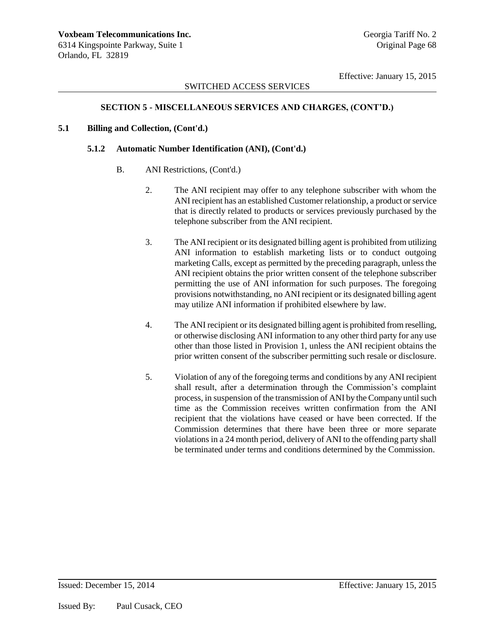# **SECTION 5 - MISCELLANEOUS SERVICES AND CHARGES, (CONT'D.)**

### **5.1 Billing and Collection, (Cont'd.)**

### **5.1.2 Automatic Number Identification (ANI), (Cont'd.)**

- B. ANI Restrictions, (Cont'd.)
	- 2. The ANI recipient may offer to any telephone subscriber with whom the ANI recipient has an established Customer relationship, a product or service that is directly related to products or services previously purchased by the telephone subscriber from the ANI recipient.
	- 3. The ANI recipient or its designated billing agent is prohibited from utilizing ANI information to establish marketing lists or to conduct outgoing marketing Calls, except as permitted by the preceding paragraph, unless the ANI recipient obtains the prior written consent of the telephone subscriber permitting the use of ANI information for such purposes. The foregoing provisions notwithstanding, no ANI recipient or its designated billing agent may utilize ANI information if prohibited elsewhere by law.
	- 4. The ANI recipient or its designated billing agent is prohibited from reselling, or otherwise disclosing ANI information to any other third party for any use other than those listed in Provision 1, unless the ANI recipient obtains the prior written consent of the subscriber permitting such resale or disclosure.
	- 5. Violation of any of the foregoing terms and conditions by any ANI recipient shall result, after a determination through the Commission's complaint process, in suspension of the transmission of ANI by the Company until such time as the Commission receives written confirmation from the ANI recipient that the violations have ceased or have been corrected. If the Commission determines that there have been three or more separate violations in a 24 month period, delivery of ANI to the offending party shall be terminated under terms and conditions determined by the Commission.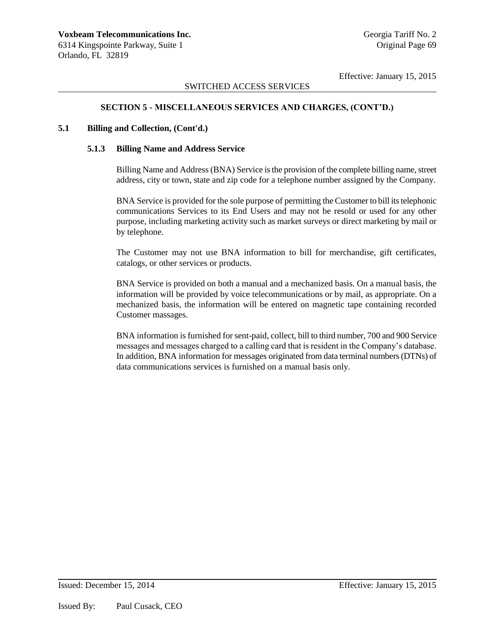# **SECTION 5 - MISCELLANEOUS SERVICES AND CHARGES, (CONT'D.)**

## **5.1 Billing and Collection, (Cont'd.)**

### **5.1.3 Billing Name and Address Service**

Billing Name and Address (BNA) Service is the provision of the complete billing name, street address, city or town, state and zip code for a telephone number assigned by the Company.

BNA Service is provided for the sole purpose of permitting the Customer to bill its telephonic communications Services to its End Users and may not be resold or used for any other purpose, including marketing activity such as market surveys or direct marketing by mail or by telephone.

The Customer may not use BNA information to bill for merchandise, gift certificates, catalogs, or other services or products.

BNA Service is provided on both a manual and a mechanized basis. On a manual basis, the information will be provided by voice telecommunications or by mail, as appropriate. On a mechanized basis, the information will be entered on magnetic tape containing recorded Customer massages.

BNA information is furnished for sent-paid, collect, bill to third number, 700 and 900 Service messages and messages charged to a calling card that is resident in the Company's database. In addition, BNA information for messages originated from data terminal numbers (DTNs) of data communications services is furnished on a manual basis only.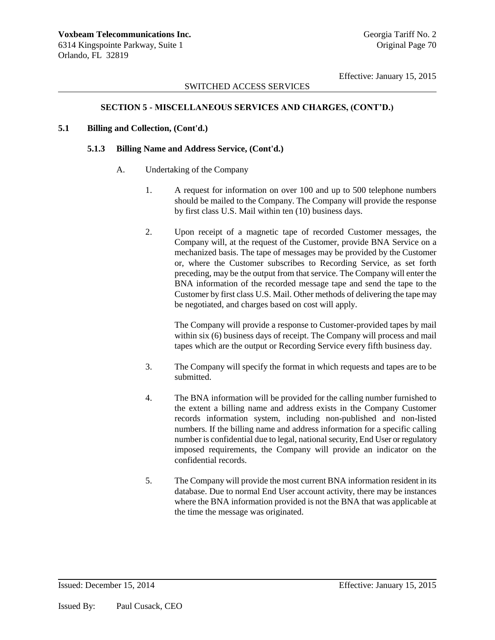## SWITCHED ACCESS SERVICES

# **SECTION 5 - MISCELLANEOUS SERVICES AND CHARGES, (CONT'D.)**

## **5.1 Billing and Collection, (Cont'd.)**

#### **5.1.3 Billing Name and Address Service, (Cont'd.)**

- A. Undertaking of the Company
	- 1. A request for information on over 100 and up to 500 telephone numbers should be mailed to the Company. The Company will provide the response by first class U.S. Mail within ten (10) business days.
	- 2. Upon receipt of a magnetic tape of recorded Customer messages, the Company will, at the request of the Customer, provide BNA Service on a mechanized basis. The tape of messages may be provided by the Customer or, where the Customer subscribes to Recording Service, as set forth preceding, may be the output from that service. The Company will enter the BNA information of the recorded message tape and send the tape to the Customer by first class U.S. Mail. Other methods of delivering the tape may be negotiated, and charges based on cost will apply.

The Company will provide a response to Customer-provided tapes by mail within six (6) business days of receipt. The Company will process and mail tapes which are the output or Recording Service every fifth business day.

- 3. The Company will specify the format in which requests and tapes are to be submitted.
- 4. The BNA information will be provided for the calling number furnished to the extent a billing name and address exists in the Company Customer records information system, including non-published and non-listed numbers. If the billing name and address information for a specific calling number is confidential due to legal, national security, End User or regulatory imposed requirements, the Company will provide an indicator on the confidential records.
- 5. The Company will provide the most current BNA information resident in its database. Due to normal End User account activity, there may be instances where the BNA information provided is not the BNA that was applicable at the time the message was originated.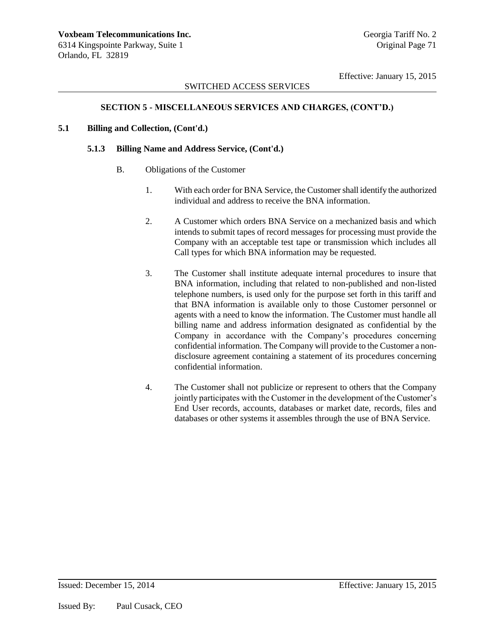# **SECTION 5 - MISCELLANEOUS SERVICES AND CHARGES, (CONT'D.)**

## **5.1 Billing and Collection, (Cont'd.)**

### **5.1.3 Billing Name and Address Service, (Cont'd.)**

- B. Obligations of the Customer
	- 1. With each order for BNA Service, the Customer shall identify the authorized individual and address to receive the BNA information.
	- 2. A Customer which orders BNA Service on a mechanized basis and which intends to submit tapes of record messages for processing must provide the Company with an acceptable test tape or transmission which includes all Call types for which BNA information may be requested.
	- 3. The Customer shall institute adequate internal procedures to insure that BNA information, including that related to non-published and non-listed telephone numbers, is used only for the purpose set forth in this tariff and that BNA information is available only to those Customer personnel or agents with a need to know the information. The Customer must handle all billing name and address information designated as confidential by the Company in accordance with the Company's procedures concerning confidential information. The Company will provide to the Customer a nondisclosure agreement containing a statement of its procedures concerning confidential information.
	- 4. The Customer shall not publicize or represent to others that the Company jointly participates with the Customer in the development of the Customer's End User records, accounts, databases or market date, records, files and databases or other systems it assembles through the use of BNA Service.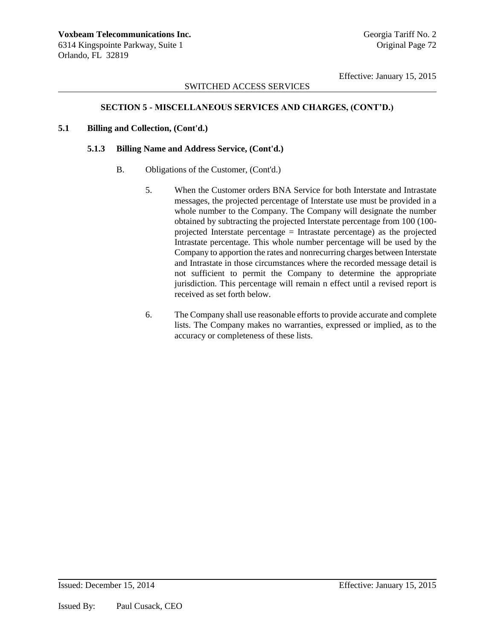## SWITCHED ACCESS SERVICES

# **SECTION 5 - MISCELLANEOUS SERVICES AND CHARGES, (CONT'D.)**

### **5.1 Billing and Collection, (Cont'd.)**

#### **5.1.3 Billing Name and Address Service, (Cont'd.)**

- B. Obligations of the Customer, (Cont'd.)
	- 5. When the Customer orders BNA Service for both Interstate and Intrastate messages, the projected percentage of Interstate use must be provided in a whole number to the Company. The Company will designate the number obtained by subtracting the projected Interstate percentage from 100 (100 projected Interstate percentage  $=$  Intrastate percentage) as the projected Intrastate percentage. This whole number percentage will be used by the Company to apportion the rates and nonrecurring charges between Interstate and Intrastate in those circumstances where the recorded message detail is not sufficient to permit the Company to determine the appropriate jurisdiction. This percentage will remain n effect until a revised report is received as set forth below.
	- 6. The Company shall use reasonable efforts to provide accurate and complete lists. The Company makes no warranties, expressed or implied, as to the accuracy or completeness of these lists.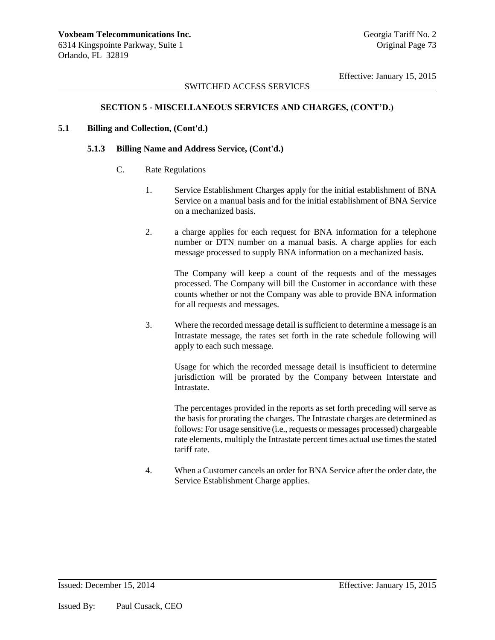# SWITCHED ACCESS SERVICES

# **SECTION 5 - MISCELLANEOUS SERVICES AND CHARGES, (CONT'D.)**

### **5.1 Billing and Collection, (Cont'd.)**

#### **5.1.3 Billing Name and Address Service, (Cont'd.)**

- C. Rate Regulations
	- 1. Service Establishment Charges apply for the initial establishment of BNA Service on a manual basis and for the initial establishment of BNA Service on a mechanized basis.
	- 2. a charge applies for each request for BNA information for a telephone number or DTN number on a manual basis. A charge applies for each message processed to supply BNA information on a mechanized basis.

The Company will keep a count of the requests and of the messages processed. The Company will bill the Customer in accordance with these counts whether or not the Company was able to provide BNA information for all requests and messages.

3. Where the recorded message detail is sufficient to determine a message is an Intrastate message, the rates set forth in the rate schedule following will apply to each such message.

Usage for which the recorded message detail is insufficient to determine jurisdiction will be prorated by the Company between Interstate and Intrastate.

The percentages provided in the reports as set forth preceding will serve as the basis for prorating the charges. The Intrastate charges are determined as follows: For usage sensitive (i.e., requests or messages processed) chargeable rate elements, multiply the Intrastate percent times actual use times the stated tariff rate.

4. When a Customer cancels an order for BNA Service after the order date, the Service Establishment Charge applies.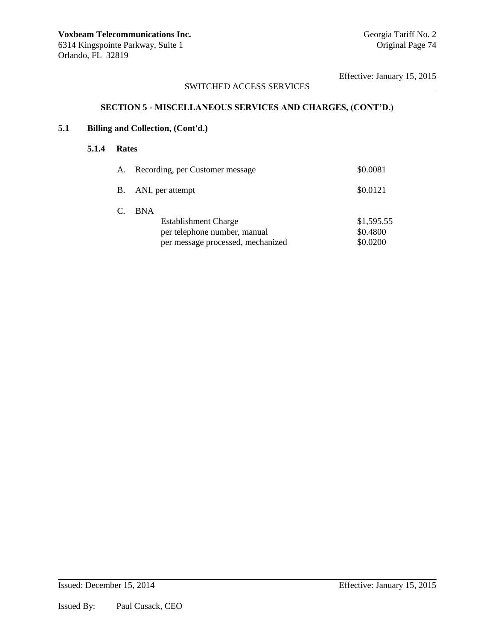Effective: January 15, 2015

# SWITCHED ACCESS SERVICES

# **SECTION 5 - MISCELLANEOUS SERVICES AND CHARGES, (CONT'D.)**

# **5.1 Billing and Collection, (Cont'd.)**

## **5.1.4 Rates**

| А. | Recording, per Customer message                                                                                | \$0.0081                           |
|----|----------------------------------------------------------------------------------------------------------------|------------------------------------|
|    | B. ANI, per attempt                                                                                            | \$0.0121                           |
| C. | <b>BNA</b><br><b>Establishment Charge</b><br>per telephone number, manual<br>per message processed, mechanized | \$1,595.55<br>\$0.4800<br>\$0.0200 |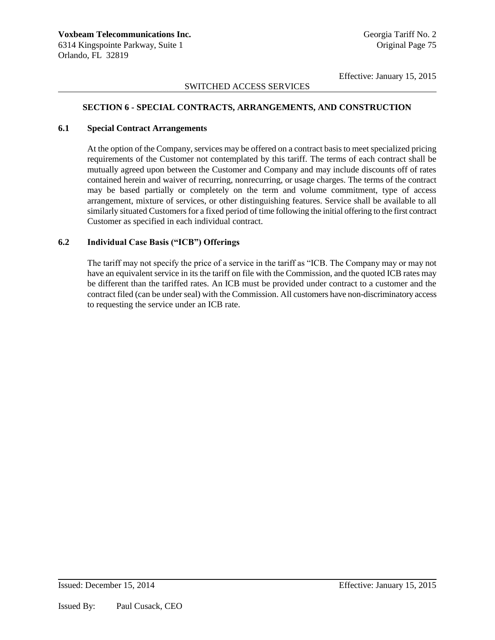Effective: January 15, 2015

# SWITCHED ACCESS SERVICES

# **SECTION 6 - SPECIAL CONTRACTS, ARRANGEMENTS, AND CONSTRUCTION**

#### **6.1 Special Contract Arrangements**

At the option of the Company, services may be offered on a contract basis to meet specialized pricing requirements of the Customer not contemplated by this tariff. The terms of each contract shall be mutually agreed upon between the Customer and Company and may include discounts off of rates contained herein and waiver of recurring, nonrecurring, or usage charges. The terms of the contract may be based partially or completely on the term and volume commitment, type of access arrangement, mixture of services, or other distinguishing features. Service shall be available to all similarly situated Customers for a fixed period of time following the initial offering to the first contract Customer as specified in each individual contract.

# **6.2 Individual Case Basis ("ICB") Offerings**

The tariff may not specify the price of a service in the tariff as "ICB. The Company may or may not have an equivalent service in its the tariff on file with the Commission, and the quoted ICB rates may be different than the tariffed rates. An ICB must be provided under contract to a customer and the contract filed (can be under seal) with the Commission. All customers have non-discriminatory access to requesting the service under an ICB rate.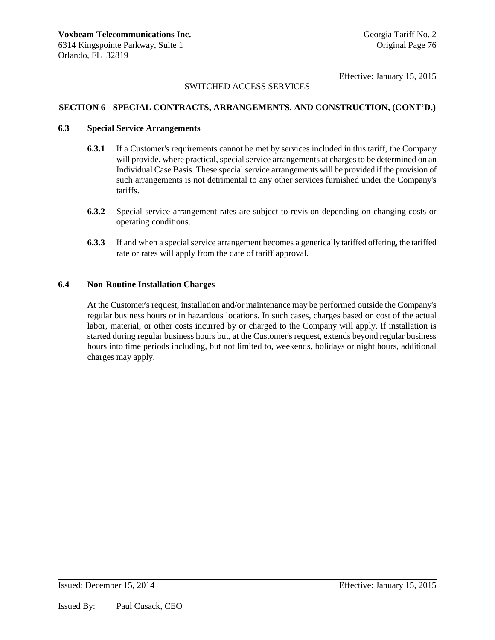Effective: January 15, 2015

## SWITCHED ACCESS SERVICES

## **SECTION 6 - SPECIAL CONTRACTS, ARRANGEMENTS, AND CONSTRUCTION, (CONT'D.)**

#### **6.3 Special Service Arrangements**

- **6.3.1** If a Customer's requirements cannot be met by services included in this tariff, the Company will provide, where practical, special service arrangements at charges to be determined on an Individual Case Basis. These special service arrangements will be provided if the provision of such arrangements is not detrimental to any other services furnished under the Company's tariffs.
- **6.3.2** Special service arrangement rates are subject to revision depending on changing costs or operating conditions.
- **6.3.3** If and when a special service arrangement becomes a generically tariffed offering, the tariffed rate or rates will apply from the date of tariff approval.

### **6.4 Non-Routine Installation Charges**

At the Customer's request, installation and/or maintenance may be performed outside the Company's regular business hours or in hazardous locations. In such cases, charges based on cost of the actual labor, material, or other costs incurred by or charged to the Company will apply. If installation is started during regular business hours but, at the Customer's request, extends beyond regular business hours into time periods including, but not limited to, weekends, holidays or night hours, additional charges may apply.